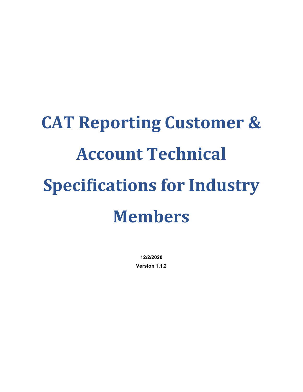# **CAT Reporting Customer & Account Technical Specifications for Industry Members**

**12/2/2020 Version 1.1.2**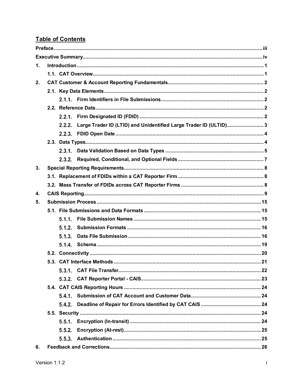#### **Table of Contents**

| $\mathbf 1$ . |        |                                                                   |  |  |  |  |  |  |  |
|---------------|--------|-------------------------------------------------------------------|--|--|--|--|--|--|--|
|               |        |                                                                   |  |  |  |  |  |  |  |
| 2.            |        |                                                                   |  |  |  |  |  |  |  |
|               |        |                                                                   |  |  |  |  |  |  |  |
|               |        |                                                                   |  |  |  |  |  |  |  |
|               |        |                                                                   |  |  |  |  |  |  |  |
|               |        |                                                                   |  |  |  |  |  |  |  |
|               | 2.2.2  | Large Trader ID (LTID) and Unidentified Large Trader ID (ULTID) 3 |  |  |  |  |  |  |  |
|               |        |                                                                   |  |  |  |  |  |  |  |
|               |        |                                                                   |  |  |  |  |  |  |  |
|               |        |                                                                   |  |  |  |  |  |  |  |
|               | 2.3.2. |                                                                   |  |  |  |  |  |  |  |
| 3.            |        |                                                                   |  |  |  |  |  |  |  |
|               |        |                                                                   |  |  |  |  |  |  |  |
|               |        |                                                                   |  |  |  |  |  |  |  |
| 4.            |        |                                                                   |  |  |  |  |  |  |  |
| 5.            |        |                                                                   |  |  |  |  |  |  |  |
|               |        |                                                                   |  |  |  |  |  |  |  |
|               | 5.1.1. |                                                                   |  |  |  |  |  |  |  |
|               | 5.1.2. |                                                                   |  |  |  |  |  |  |  |
|               | 5.1.3. |                                                                   |  |  |  |  |  |  |  |
|               | 5.1.4. |                                                                   |  |  |  |  |  |  |  |
|               |        |                                                                   |  |  |  |  |  |  |  |
|               |        |                                                                   |  |  |  |  |  |  |  |
|               | 5.3.1. |                                                                   |  |  |  |  |  |  |  |
|               | 5.3.2. |                                                                   |  |  |  |  |  |  |  |
|               |        |                                                                   |  |  |  |  |  |  |  |
|               | 5.4.1. |                                                                   |  |  |  |  |  |  |  |
|               | 5.4.2. |                                                                   |  |  |  |  |  |  |  |
|               |        |                                                                   |  |  |  |  |  |  |  |
|               | 5.5.1. |                                                                   |  |  |  |  |  |  |  |
|               | 5.5.2. |                                                                   |  |  |  |  |  |  |  |
|               | 5.5.3. |                                                                   |  |  |  |  |  |  |  |
| 6.            |        |                                                                   |  |  |  |  |  |  |  |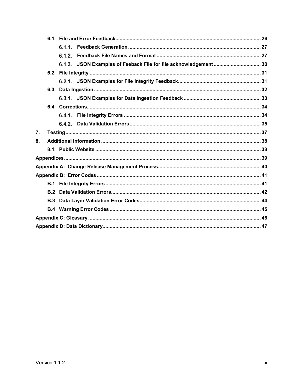|    |     | 6.1.1. |                                                           |  |
|----|-----|--------|-----------------------------------------------------------|--|
|    |     | 6.1.2. |                                                           |  |
|    |     | 6.1.3. | JSON Examples of Feeback File for file acknowledgement 30 |  |
|    |     |        |                                                           |  |
|    |     |        |                                                           |  |
|    |     |        |                                                           |  |
|    |     |        |                                                           |  |
|    |     |        |                                                           |  |
|    |     |        |                                                           |  |
|    |     | 6.4.2. |                                                           |  |
| 7. |     |        |                                                           |  |
| 8. |     |        |                                                           |  |
|    |     |        |                                                           |  |
|    |     |        |                                                           |  |
|    |     |        |                                                           |  |
|    |     |        |                                                           |  |
|    |     |        |                                                           |  |
|    | B.2 |        |                                                           |  |
|    | B.3 |        |                                                           |  |
|    |     |        |                                                           |  |
|    |     |        |                                                           |  |
|    |     |        |                                                           |  |
|    |     |        |                                                           |  |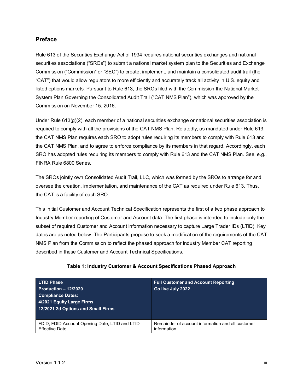#### <span id="page-3-0"></span>**Preface**

Rule 613 of the Securities Exchange Act of 1934 requires national securities exchanges and national securities associations ("SROs") to submit a national market system plan to the Securities and Exchange Commission ("Commission" or "SEC") to create, implement, and maintain a consolidated audit trail (the "CAT") that would allow regulators to more efficiently and accurately track all activity in U.S. equity and listed options markets. Pursuant to Rule 613, the SROs filed with the Commission the National Market System Plan Governing the Consolidated Audit Trail ("CAT NMS Plan"), which was approved by the Commission on November 15, 2016.

Under Rule 613(g)(2), each member of a national securities exchange or national securities association is required to comply with all the provisions of the CAT NMS Plan. Relatedly, as mandated under Rule 613, the CAT NMS Plan requires each SRO to adopt rules requiring its members to comply with Rule 613 and the CAT NMS Plan, and to agree to enforce compliance by its members in that regard. Accordingly, each SRO has adopted rules requiring its members to comply with Rule 613 and the CAT NMS Plan. See, e.g., FINRA Rule 6800 Series.

The SROs jointly own Consolidated Audit Trail, LLC, which was formed by the SROs to arrange for and oversee the creation, implementation, and maintenance of the CAT as required under Rule 613. Thus, the CAT is a facility of each SRO.

This initial Customer and Account Technical Specification represents the first of a two phase approach to Industry Member reporting of Customer and Account data. The first phase is intended to include only the subset of required Customer and Account information necessary to capture Large Trader IDs (LTID). Key dates are as noted below. The Participants propose to seek a modification of the requirements of the CAT NMS Plan from the Commission to reflect the phased approach for Industry Member CAT reporting described in these Customer and Account Technical Specifications.

| <b>LTID Phase</b>                                                       | <b>Full Customer and Account Reporting</b>                       |
|-------------------------------------------------------------------------|------------------------------------------------------------------|
| Production $-12/2020$                                                   | Go live July 2022                                                |
| <b>Compliance Dates:</b>                                                |                                                                  |
| 4/2021 Equity Large Firms                                               |                                                                  |
| 12/2021 2d Options and Small Firms                                      |                                                                  |
|                                                                         |                                                                  |
| FDID, FDID Account Opening Date, LTID and LTID<br><b>Effective Date</b> | Remainder of account information and all customer<br>information |

#### **Table 1: Industry Customer & Account Specifications Phased Approach**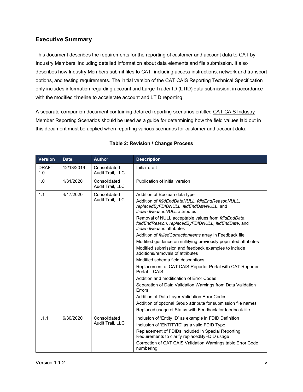#### <span id="page-4-0"></span>**Executive Summary**

This document describes the requirements for the reporting of customer and account data to CAT by Industry Members, including detailed information about data elements and file submission. It also describes how Industry Members submit files to CAT, including access instructions, network and transport options, and testing requirements. The initial version of the CAT CAIS Reporting Technical Specification only includes information regarding account and Large Trader ID (LTID) data submission, in accordance with the modified timeline to accelerate account and LTID reporting.

A separate companion document containing detailed reporting scenarios entitled CAT CAIS Industry Member Reporting Scenarios should be used as a guide for determining how the field values laid out in this document must be applied when reporting various scenarios for customer and account data.

| <b>Version</b>      | <b>Date</b> | <b>Author</b>                    | <b>Description</b>                                                                                                                                                                                                                                                                                                                                                                                                                                                                                                                                                                                                                                                                                                                                                                                                                                                                                                                                                        |  |  |  |
|---------------------|-------------|----------------------------------|---------------------------------------------------------------------------------------------------------------------------------------------------------------------------------------------------------------------------------------------------------------------------------------------------------------------------------------------------------------------------------------------------------------------------------------------------------------------------------------------------------------------------------------------------------------------------------------------------------------------------------------------------------------------------------------------------------------------------------------------------------------------------------------------------------------------------------------------------------------------------------------------------------------------------------------------------------------------------|--|--|--|
| <b>DRAFT</b><br>1.0 | 12/13/2019  | Consolidated<br>Audit Trail, LLC | Initial draft                                                                                                                                                                                                                                                                                                                                                                                                                                                                                                                                                                                                                                                                                                                                                                                                                                                                                                                                                             |  |  |  |
| 1.0                 | 1/31/2020   | Consolidated<br>Audit Trail, LLC | Publication of initial version                                                                                                                                                                                                                                                                                                                                                                                                                                                                                                                                                                                                                                                                                                                                                                                                                                                                                                                                            |  |  |  |
| 1.1                 | 4/17/2020   | Consolidated<br>Audit Trail, LLC | Addition of Boolean data type<br>Addition of fdidEndDateNULL, fdidEndReasonNULL,<br>replacedByFDIDNULL, ItidEndDateNULL, and<br>ItidEndReasonNULL attributes<br>Removal of NULL acceptable values from fdidEndDate,<br>fdidEndReason, replacedByFDIDNULL, ItidEndDate, and<br><i><b>ItidEndReason attributes</b></i><br>Addition of failed Correction Items array in Feedback file<br>Modified guidance on nullifying previously populated attributes<br>Modified submission and feedback examples to include<br>additions/removals of attributes<br>Modified schema field descriptions<br>Replacement of CAT CAIS Reporter Portal with CAT Reporter<br>Portal - CAIS<br>Addition and modification of Error Codes<br>Separation of Data Validation Warnings from Data Validation<br>Errors<br>Addition of Data Layer Validation Error Codes<br>Addition of optional Group attribute for submission file names<br>Replaced usage of Status with Feedback for feedback file |  |  |  |
| 1.1.1               | 6/30/2020   | Consolidated<br>Audit Trail, LLC | Inclusion of 'Entity ID' as example in FDID Definition<br>Inclusion of 'ENTITYID' as a valid FDID Type<br>Replacement of FDIDs included in Special Reporting<br>Requirements to clarify replacedByFDID usage<br>Correction of CAT CAIS Validation Warnings table Error Code<br>numbering                                                                                                                                                                                                                                                                                                                                                                                                                                                                                                                                                                                                                                                                                  |  |  |  |

#### **Table 2: Revision / Change Process**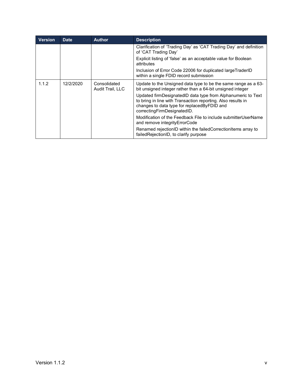| <b>Version</b> | <b>Date</b> | <b>Author</b>                    | <b>Description</b>                                                                                                                                                                                           |
|----------------|-------------|----------------------------------|--------------------------------------------------------------------------------------------------------------------------------------------------------------------------------------------------------------|
|                |             |                                  | Clarification of 'Trading Day' as 'CAT Trading Day' and definition<br>of 'CAT Trading Day'                                                                                                                   |
|                |             |                                  | Explicit listing of 'false' as an acceptable value for Boolean<br>attributes                                                                                                                                 |
|                |             |                                  | Inclusion of Error Code 22006 for duplicated largeTraderID<br>within a single FDID record submission                                                                                                         |
| 1.1.2          | 12/2/2020   | Consolidated<br>Audit Trail, LLC | Update to the Unsigned data type to be the same range as a 63-<br>bit unsigned integer rather than a 64-bit unsigned integer                                                                                 |
|                |             |                                  | Updated firmDesignatedID data type from Alphanumeric to Text<br>to bring in line with Transaction reporting. Also results in<br>changes to data type for replaced By FDID and<br>correctingFirmDesignatedID. |
|                |             |                                  | Modification of the Feedback File to include submitterUserName<br>and remove integrity Error Code                                                                                                            |
|                |             |                                  | Renamed rejectionID within the failed CorrectionItems array to<br>failedRejectionID, to clarify purpose                                                                                                      |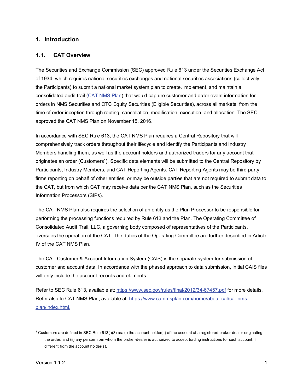#### <span id="page-6-0"></span>**1. Introduction**

#### <span id="page-6-1"></span>**1.1. CAT Overview**

The Securities and Exchange Commission (SEC) approved Rule 613 under the Securities Exchange Act of 1934, which requires national securities exchanges and national securities associations (collectively, the Participants) to submit a national market system plan to create, implement, and maintain a consolidated audit trail [\(CAT NMS Plan\)](https://www.catnmsplan.com/wp-content/uploads/2017/03/CAT-NMS-Plan-Current-as-of-7.24.17.pdf) that would capture customer and order event information for orders in NMS Securities and OTC Equity Securities (Eligible Securities), across all markets, from the time of order inception through routing, cancellation, modification, execution, and allocation. The SEC approved the CAT NMS Plan on November 15, 2016.

In accordance with SEC Rule 613, the CAT NMS Plan requires a Central Repository that will comprehensively track orders throughout their lifecycle and identify the Participants and Industry Members handling them, as well as the account holders and authorized traders for any account that originates an order (Customer[s1\)](#page-6-2). Specific data elements will be submitted to the Central Repository by Participants, Industry Members, and CAT Reporting Agents. CAT Reporting Agents may be third-party firms reporting on behalf of other entities, or may be outside parties that are not required to submit data to the CAT, but from which CAT may receive data per the CAT NMS Plan, such as the Securities Information Processors (SIPs).

The CAT NMS Plan also requires the selection of an entity as the Plan Processor to be responsible for performing the processing functions required by Rule 613 and the Plan. The Operating Committee of Consolidated Audit Trail, LLC, a governing body composed of representatives of the Participants, oversees the operation of the CAT. The duties of the Operating Committee are further described in Article IV of the CAT NMS Plan.

The CAT Customer & Account Information System (CAIS) is the separate system for submission of customer and account data. In accordance with the phased approach to data submission, initial CAIS files will only include the account records and elements.

Refer to SEC Rule 613, available at:<https://www.sec.gov/rules/final/2012/34-67457.pdf> for more details. Refer also to CAT NMS Plan, available at: [https://www.catnmsplan.com/home/about-cat/cat-nms](https://www.catnmsplan.com/home/about-cat/cat-nms-plan/index.html)[plan/index.html.](https://www.catnmsplan.com/home/about-cat/cat-nms-plan/index.html)

<span id="page-6-2"></span><sup>&</sup>lt;sup>1</sup> Customers are defined in SEC Rule 613(j)(3) as: (i) the account holder(s) of the account at a registered broker-dealer originating the order; and (ii) any person from whom the broker-dealer is authorized to accept trading instructions for such account, if different from the account holder(s).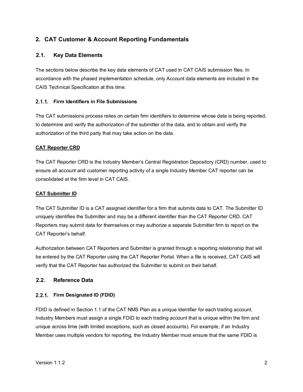#### <span id="page-7-0"></span>**2. CAT Customer & Account Reporting Fundamentals**

#### <span id="page-7-1"></span>**2.1. Key Data Elements**

The sections below describe the key data elements of CAT used in CAT CAIS submission files. In accordance with the phased implementation schedule, only Account data elements are included in the CAIS Technical Specification at this time.

#### <span id="page-7-2"></span>**Firm Identifiers in File Submissions**

The CAT submissions process relies on certain firm identifiers to determine whose data is being reported, to determine and verify the authorization of the submitter of the data, and to obtain and verify the authorization of the third party that may take action on the data.

#### **CAT Reporter CRD**

The CAT Reporter CRD is the Industry Member's Central Registration Depository (CRD) number, used to ensure all account and customer reporting activity of a single Industry Member CAT reporter can be consolidated at the firm level in CAT CAIS.

#### **CAT Submitter ID**

The CAT Submitter ID is a CAT assigned identifier for a firm that submits data to CAT. The Submitter ID uniquely identifies the Submitter and may be a different identifier than the CAT Reporter CRD. CAT Reporters may submit data for themselves or may authorize a separate Submitter firm to report on the CAT Reporter's behalf.

Authorization between CAT Reporters and Submitter is granted through a reporting relationship that will be entered by the CAT Reporter using the CAT Reporter Portal. When a file is received, CAT CAIS will verify that the CAT Reporter has authorized the Submitter to submit on their behalf.

#### <span id="page-7-3"></span>**2.2. Reference Data**

#### <span id="page-7-4"></span>**Firm Designated ID (FDID)**

FDID is defined in Section 1.1 of the CAT NMS Plan as a unique identifier for each trading account. Industry Members must assign a single FDID to each trading account that is unique within the firm and unique across time (with limited exceptions, such as closed accounts). For example, if an Industry Member uses multiple vendors for reporting, the Industry Member must ensure that the same FDID is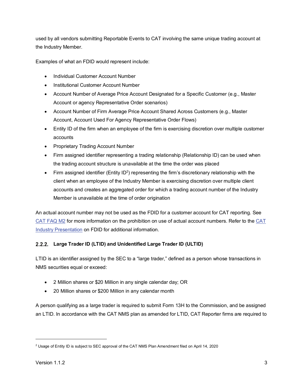used by all vendors submitting Reportable Events to CAT involving the same unique trading account at the Industry Member.

Examples of what an FDID would represent include:

- Individual Customer Account Number
- Institutional Customer Account Number
- Account Number of Average Price Account Designated for a Specific Customer (e.g., Master Account or agency Representative Order scenarios)
- Account Number of Firm Average Price Account Shared Across Customers (e.g., Master Account, Account Used For Agency Representative Order Flows)
- Entity ID of the firm when an employee of the firm is exercising discretion over multiple customer accounts
- Proprietary Trading Account Number
- Firm assigned identifier representing a trading relationship (Relationship ID) can be used when the trading account structure is unavailable at the time the order was placed
- Firm assigned identifier (Entity ID<sup>[2](#page-8-1)</sup>) representing the firm's discretionary relationship with the client when an employee of the Industry Member is exercising discretion over multiple client accounts and creates an aggregated order for which a trading account number of the Industry Member is unavailable at the time of order origination

An actual account number may not be used as the FDID for a customer account for CAT reporting. See [CAT FAQ M2](https://catnmsplan.com/faq/index.html#faqFDID) for more information on the prohibition on use of actual account numbers. Refer to the [CAT](https://catnmsplan.com/wp-content/uploads/2019/04/FDID-Guidance-April-2019.pdf)  Industry Presentation [on FDID for additional information.](https://catnmsplan.com/wp-content/uploads/2019/04/FDID-Guidance-April-2019.pdf)

#### <span id="page-8-0"></span>**Large Trader ID (LTID) and Unidentified Large Trader ID (ULTID)**

LTID is an identifier assigned by the SEC to a "large trader," defined as a person whose transactions in NMS securities equal or exceed:

- 2 Million shares or \$20 Million in any single calendar day; OR
- 20 Million shares or \$200 Million in any calendar month

A person qualifying as a large trader is required to submit Form 13H to the Commission, and be assigned an LTID. In accordance with the CAT NMS plan as amended for LTID, CAT Reporter firms are required to

<span id="page-8-1"></span><sup>2</sup> Usage of Entity ID is subject to SEC approval of the CAT NMS Plan Amendment filed on April 14, 2020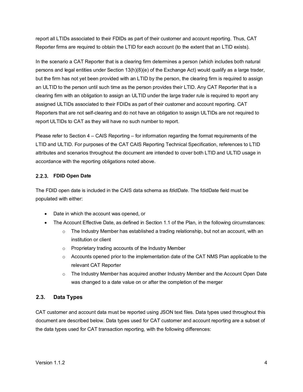report all LTIDs associated to their FDIDs as part of their customer and account reporting. Thus, CAT Reporter firms are required to obtain the LTID for each account (to the extent that an LTID exists).

In the scenario a CAT Reporter that is a clearing firm determines a person (which includes both natural persons and legal entities under Section 13(h)(8)(e) of the Exchange Act) would qualify as a large trader, but the firm has not yet been provided with an LTID by the person, the clearing firm is required to assign an ULTID to the person until such time as the person provides their LTID. Any CAT Reporter that is a clearing firm with an obligation to assign an ULTID under the large trader rule is required to report any assigned ULTIDs associated to their FDIDs as part of their customer and account reporting. CAT Reporters that are not self-clearing and do not have an obligation to assign ULTIDs are not required to report ULTIDs to CAT as they will have no such number to report.

Please refer to Section 4 – CAIS Reporting – for information regarding the format requirements of the LTID and ULTID. For purposes of the CAT CAIS Reporting Technical Specification, references to LTID attributes and scenarios throughout the document are intended to cover both LTID and ULTID usage in accordance with the reporting obligations noted above.

#### <span id="page-9-0"></span>**FDID Open Date**

The FDID open date is included in the CAIS data schema as *fdidDate*. The fdidDate field must be populated with either:

- Date in which the account was opened, or
- The Account Effective Date, as defined in Section 1.1 of the Plan, in the following circumstances:
	- $\circ$  The Industry Member has established a trading relationship, but not an account, with an institution or client
	- o Proprietary trading accounts of the Industry Member
	- $\circ$  Accounts opened prior to the implementation date of the CAT NMS Plan applicable to the relevant CAT Reporter
	- $\circ$  The Industry Member has acquired another Industry Member and the Account Open Date was changed to a date value on or after the completion of the merger

#### <span id="page-9-1"></span>**2.3. Data Types**

CAT customer and account data must be reported using JSON text files. Data types used throughout this document are described below. Data types used for CAT customer and account reporting are a subset of the data types used for CAT transaction reporting, with the following differences: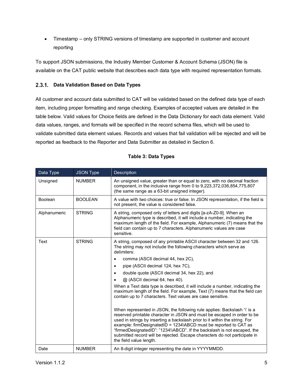• Timestamp – only STRING versions of timestamp are supported in customer and account reporting

To support JSON submissions, the [Industry](https://catnmsplan.com/technical-specifications/index.html) Member Customer & Account Schema (JSON) file is available on the CAT public website that describes each data type with required representation formats.

#### <span id="page-10-0"></span>**Data Validation Based on Data Types**

All customer and account data submitted to CAT will be validated based on the defined data type of each item, including proper formatting and range checking. Examples of accepted values are detailed in the table below. Valid values for Choice fields are defined in the Data Dictionary for each data element. Valid data values, ranges, and formats will be specified in the record schema files, which will be used to validate submitted data element values. Records and values that fail validation will be rejected and will be reported as feedback to the Reporter and Data Submitter as detailed in Section 6.

<span id="page-10-1"></span>

| Data Type      | <b>JSON Type</b> | <b>Description</b>                                                                                                                                                                                                                                                                                                                                                                                                                                                                          |  |  |  |  |
|----------------|------------------|---------------------------------------------------------------------------------------------------------------------------------------------------------------------------------------------------------------------------------------------------------------------------------------------------------------------------------------------------------------------------------------------------------------------------------------------------------------------------------------------|--|--|--|--|
| Unsigned       | <b>NUMBER</b>    | An unsigned value, greater than or equal to zero, with no decimal fraction<br>component, in the inclusive range from 0 to 9,223,372,036,854,775,807<br>(the same range as a 63-bit unsigned integer).                                                                                                                                                                                                                                                                                       |  |  |  |  |
| <b>Boolean</b> | <b>BOOLEAN</b>   | A value with two choices: true or false. In JSON representation, if the field is<br>not present, the value is considered false.                                                                                                                                                                                                                                                                                                                                                             |  |  |  |  |
| Alphanumeric   | <b>STRING</b>    | A string, composed only of letters and digits [a-zA-Z0-9]. When an<br>Alphanumeric type is described, it will include a number, indicating the<br>maximum length of the field. For example, Alphanumeric (7) means that the<br>field can contain up to 7 characters. Alphanumeric values are case<br>sensitive.                                                                                                                                                                             |  |  |  |  |
| Text           | <b>STRING</b>    | A string, composed of any printable ASCII character between 32 and 126.<br>The string may not include the following characters which serve as<br>delimiters:                                                                                                                                                                                                                                                                                                                                |  |  |  |  |
|                |                  | comma (ASCII decimal 44, hex 2C),                                                                                                                                                                                                                                                                                                                                                                                                                                                           |  |  |  |  |
|                |                  | pipe (ASCII decimal 124, hex 7C),<br>$\bullet$                                                                                                                                                                                                                                                                                                                                                                                                                                              |  |  |  |  |
|                |                  | double quote (ASCII decimal 34, hex 22), and<br>$\bullet$                                                                                                                                                                                                                                                                                                                                                                                                                                   |  |  |  |  |
|                |                  | @ (ASCII decimal 64, hex 40).                                                                                                                                                                                                                                                                                                                                                                                                                                                               |  |  |  |  |
|                |                  | When a Text data type is described, it will include a number, indicating the<br>maximum length of the field. For example, Text (7) means that the field can<br>contain up to 7 characters. Text values are case sensitive.                                                                                                                                                                                                                                                                  |  |  |  |  |
|                |                  | When represented in JSON, the following rule applies: Backslash '\' is a<br>reserved printable character in JSON and must be escaped in order to be<br>used in strings by inserting a backslash prior to it within the string. For<br>example: firmDesignatedID = 1234\ABCD must be reported to CAT as<br>"firmedDesignatedID": "1234\\ABCD". If the backslash is not escaped, the<br>submitted record will be rejected. Escape characters do not participate in<br>the field value length. |  |  |  |  |
| Date           | <b>NUMBER</b>    | An 8-digit integer representing the date in YYYYMMDD.                                                                                                                                                                                                                                                                                                                                                                                                                                       |  |  |  |  |

#### **Table 3: Data Types**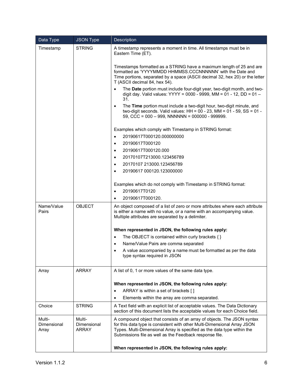| Data Type                                | <b>JSON Type</b>                                       | Description                                                                                                                                                                                                                                                                                                                                                                                                                                                                                                                                                                                                                                                                                                                                                                                                                                                                                                                                                                                                                                      |  |  |  |  |
|------------------------------------------|--------------------------------------------------------|--------------------------------------------------------------------------------------------------------------------------------------------------------------------------------------------------------------------------------------------------------------------------------------------------------------------------------------------------------------------------------------------------------------------------------------------------------------------------------------------------------------------------------------------------------------------------------------------------------------------------------------------------------------------------------------------------------------------------------------------------------------------------------------------------------------------------------------------------------------------------------------------------------------------------------------------------------------------------------------------------------------------------------------------------|--|--|--|--|
| Timestamp                                | <b>STRING</b>                                          | A timestamp represents a moment in time. All timestamps must be in<br>Eastern Time (ET).<br>Timestamps formatted as a STRING have a maximum length of 25 and are<br>formatted as 'YYYYMMDD HHMMSS.CCCNNNNNN' with the Date and<br>Time portions, separated by a space (ASCII decimal 32, hex 20) or the letter<br>T (ASCII decimal 84, hex 54).<br>The Date portion must include four-digit year, two-digit month, and two-<br>digit day. Valid values: YYYY = 0000 - 9999, MM = 01 - 12, DD = 01 -<br>31.<br>The Time portion must include a two-digit hour, two-digit minute, and<br>$\bullet$<br>two-digit seconds. Valid values: $HH = 00 - 23$ , $MM = 01 - 59$ , $SS = 01 -$<br>59, CCC = $000 - 999$ , NNNNNN = $000000 - 999999$ .<br>Examples which comply with Timestamp in STRING format:<br>20190617T000120.000000000<br>$\bullet$<br>20190617T000120<br>$\bullet$<br>20190617T000120.000<br>$\bullet$<br>20170107T213000.123456789<br>$\bullet$<br>20170107 213000.123456789<br>$\bullet$<br>20190617 000120.123000000<br>$\bullet$ |  |  |  |  |
|                                          |                                                        | Examples which do not comply with Timestamp in STRING format:<br>20190617T0120<br>$\bullet$<br>20190617T000120.<br>$\bullet$                                                                                                                                                                                                                                                                                                                                                                                                                                                                                                                                                                                                                                                                                                                                                                                                                                                                                                                     |  |  |  |  |
| Name/Value<br>Pairs                      | <b>OBJECT</b>                                          | An object composed of a list of zero or more attributes where each attribute<br>is either a name with no value, or a name with an accompanying value.<br>Multiple attributes are separated by a delimiter.<br>When represented in JSON, the following rules apply:<br>The OBJECT is contained within curly brackets { }<br>$\bullet$<br>Name/Value Pairs are comma separated<br>$\bullet$<br>A value accompanied by a name must be formatted as per the data<br>$\bullet$<br>type syntax required in JSON                                                                                                                                                                                                                                                                                                                                                                                                                                                                                                                                        |  |  |  |  |
| Array                                    | ARRAY                                                  | A list of 0, 1 or more values of the same data type.<br>When represented in JSON, the following rules apply:<br>ARRAY is within a set of brackets []<br>$\bullet$<br>Elements within the array are comma separated.<br>$\bullet$                                                                                                                                                                                                                                                                                                                                                                                                                                                                                                                                                                                                                                                                                                                                                                                                                 |  |  |  |  |
| Choice<br>Multi-<br>Dimensional<br>Array | <b>STRING</b><br>Multi-<br>Dimensional<br><b>ARRAY</b> | A Text field with an explicit list of acceptable values. The Data Dictionary<br>section of this document lists the acceptable values for each Choice field.<br>A compound object that consists of an array of objects. The JSON syntax<br>for this data type is consistent with other Multi-Dimensional Array JSON<br>Types. Multi-Dimensional Array is specified as the data type within the                                                                                                                                                                                                                                                                                                                                                                                                                                                                                                                                                                                                                                                    |  |  |  |  |
|                                          |                                                        | Submissions file as well as the Feedback response file.<br>When represented in JSON, the following rules apply:                                                                                                                                                                                                                                                                                                                                                                                                                                                                                                                                                                                                                                                                                                                                                                                                                                                                                                                                  |  |  |  |  |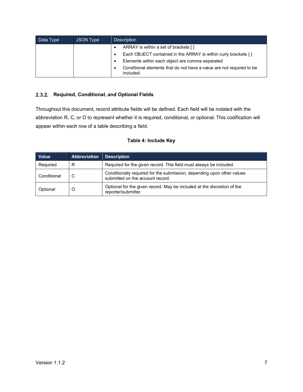| Data Type | JSON Type | <b>Description</b>                                                                |  |  |  |  |
|-----------|-----------|-----------------------------------------------------------------------------------|--|--|--|--|
|           |           | ARRAY is within a set of brackets []<br>$\bullet$                                 |  |  |  |  |
|           |           | Each OBJECT contained in the ARRAY is within curly brackets $\{\}$                |  |  |  |  |
|           |           | Elements within each object are comma separated<br>$\bullet$                      |  |  |  |  |
|           |           | Conditional elements that do not have a value are not required to be<br>included. |  |  |  |  |

#### <span id="page-12-0"></span>**Required, Conditional, and Optional Fields**

Throughout this document, record attribute fields will be defined. Each field will be notated with the abbreviation R, C, or O to represent whether it is required, conditional, or optional. This codification will appear within each row of a table describing a field.

#### **Table 4: Include Key**

| Value       | Abbreviation | <b>Description</b>                                                                                         |
|-------------|--------------|------------------------------------------------------------------------------------------------------------|
| Required    | R            | Required for the given record. This field must always be included.                                         |
| Conditional | C            | Conditionally required for the submission, depending upon other values<br>submitted on the account record. |
| Optional    | O            | Optional for the given record. May be included at the discretion of the<br>reporter/submitter.             |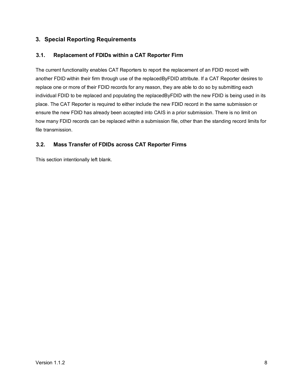#### <span id="page-13-0"></span>**3. Special Reporting Requirements**

#### <span id="page-13-1"></span>**3.1. Replacement of FDIDs within a CAT Reporter Firm**

The current functionality enables CAT Reporters to report the replacement of an FDID record with another FDID within their firm through use of the replacedByFDID attribute. If a CAT Reporter desires to replace one or more of their FDID records for any reason, they are able to do so by submitting each individual FDID to be replaced and populating the replacedByFDID with the new FDID is being used in its place. The CAT Reporter is required to either include the new FDID record in the same submission or ensure the new FDID has already been accepted into CAIS in a prior submission. There is no limit on how many FDID records can be replaced within a submission file, other than the standing record limits for file transmission.

#### <span id="page-13-2"></span>**3.2. Mass Transfer of FDIDs across CAT Reporter Firms**

This section intentionally left blank.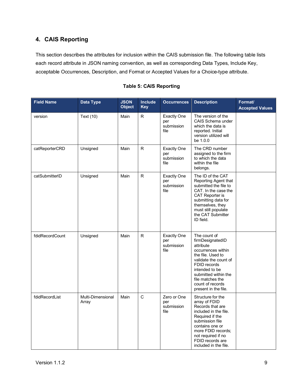#### <span id="page-14-0"></span>**4. CAIS Reporting**

This section describes the attributes for inclusion within the CAIS submission file. The following table lists each record attribute in JSON naming convention, as well as corresponding Data Types, Include Key, acceptable Occurrences, Description, and Format or Accepted Values for a Choice-type attribute.

| <b>Field Name</b> | <b>Data Type</b>           | <b>JSON</b><br><b>Object</b> | <b>Include</b><br><b>Key</b> | <b>Occurrences</b>                              | <b>Description</b>                                                                                                                                                                                                                          | Format/<br><b>Accepted Values</b> |
|-------------------|----------------------------|------------------------------|------------------------------|-------------------------------------------------|---------------------------------------------------------------------------------------------------------------------------------------------------------------------------------------------------------------------------------------------|-----------------------------------|
| version           | Text (10)                  | Main                         | $\mathsf{R}$                 | <b>Exactly One</b><br>per<br>submission<br>file | The version of the<br>CAIS Schema under<br>which the data is<br>reported. Initial<br>version utilized will<br>be 1.0.0                                                                                                                      |                                   |
| catReporterCRD    | Unsigned                   | Main                         | $\mathsf{R}$                 | <b>Exactly One</b><br>per<br>submission<br>file | The CRD number<br>assigned to the firm<br>to which the data<br>within the file<br>belongs.                                                                                                                                                  |                                   |
| catSubmitterID    | Unsigned                   | Main                         | $\mathsf{R}$                 | <b>Exactly One</b><br>per<br>submission<br>file | The ID of the CAT<br>Reporting Agent that<br>submitted the file to<br>CAT. In the case the<br>CAT Reporter is<br>submitting data for<br>themselves, they<br>must still populate<br>the CAT Submitter<br>ID field.                           |                                   |
| fdidRecordCount   | Unsigned                   | Main                         | R                            | <b>Exactly One</b><br>per<br>submission<br>file | The count of<br>firmDesignatedID<br>attribute<br>occurrences within<br>the file. Used to<br>validate the count of<br>FDID records<br>intended to be<br>submitted within the<br>file matches the<br>count of records<br>present in the file. |                                   |
| fdidRecordList    | Multi-Dimensional<br>Array | Main                         | C                            | Zero or One<br>per<br>submission<br>file        | Structure for the<br>array of FDID<br>Records that are<br>included in the file.<br>Required if the<br>submission file<br>contains one or<br>more FDID records;<br>not required if no<br>FDID records are<br>included in the file.           |                                   |

#### **Table 5: CAIS Reporting**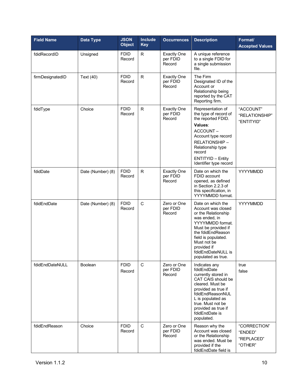| <b>Field Name</b> | Data Type         | <b>JSON</b><br><b>Object</b> | <b>Include</b><br><b>Key</b> | <b>Occurrences</b>                       | <b>Description</b>                                                                                                                                                                                                                               | Format/<br><b>Accepted Values</b>                |
|-------------------|-------------------|------------------------------|------------------------------|------------------------------------------|--------------------------------------------------------------------------------------------------------------------------------------------------------------------------------------------------------------------------------------------------|--------------------------------------------------|
| fdidRecordID      | Unsigned          | <b>FDID</b><br>Record        | R                            | <b>Exactly One</b><br>per FDID<br>Record | A unique reference<br>to a single FDID for<br>a single submission<br>file.                                                                                                                                                                       |                                                  |
| firmDesignatedID  | Text (40)         | <b>FDID</b><br>Record        | R                            | <b>Exactly One</b><br>per FDID<br>Record | The Firm<br>Designated ID of the<br>Account or<br>Relationship being<br>reported by the CAT<br>Reporting firm.                                                                                                                                   |                                                  |
| fdidType          | Choice            | <b>FDID</b><br>Record        | ${\sf R}$                    | <b>Exactly One</b><br>per FDID<br>Record | Representation of<br>the type of record of<br>the reported FDID.<br>Values:<br>ACCOUNT-<br>Account type record<br>RELATIONSHIP-<br>Relationship type<br>record<br><b>ENTITYID - Entity</b><br>Identifier type record                             | "ACCOUNT"<br>"RELATIONSHIP"<br>"ENTITYID"        |
| fdidDate          | Date (Number) (8) | <b>FDID</b><br>Record        | ${\sf R}$                    | <b>Exactly One</b><br>per FDID<br>Record | Date on which the<br>FDID account<br>opened, as defined<br>in Section 2.2.3 of<br>this specification, in<br>YYYYMMDD format.                                                                                                                     | YYYYMMDD                                         |
| fdidEndDate       | Date (Number) (8) | <b>FDID</b><br>Record        | $\mathsf{C}$                 | Zero or One<br>per FDID<br>Record        | Date on which the<br>Account was closed<br>or the Relationship<br>was ended, in<br>YYYYMMDD format.<br>Must be provided if<br>the fdidEndReason<br>field is populated.<br>Must not be<br>provided if<br>fdidEndDateNULL is<br>populated as true. | YYYYMMDD                                         |
| fdidEndDateNULL   | <b>Boolean</b>    | <b>FDID</b><br>Record        | C                            | Zero or One<br>per FDID<br>Record        | Indicates any<br>fdidEndDate<br>currently stored in<br>CAT CAIS should be<br>cleared. Must be<br>provided as true if<br>fdidEndReasonNUL<br>L is populated as<br>true. Must not be<br>provided as true if<br>fdidEndDate is<br>populated.        | true<br>false                                    |
| fdidEndReason     | Choice            | <b>FDID</b><br>Record        | $\mathbf C$                  | Zero or One<br>per FDID<br>Record        | Reason why the<br>Account was closed<br>or the Relationship<br>was ended. Must be<br>provided if the<br>fdidEndDate field is                                                                                                                     | "CORRECTION"<br>"ENDED"<br>"REPLACED"<br>"OTHER" |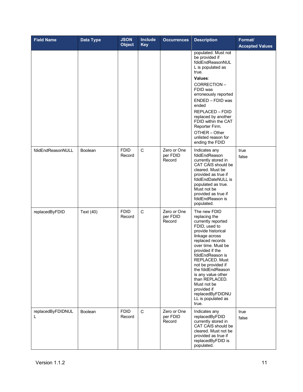| <b>Field Name</b>      | Data Type      | <b>JSON</b><br><b>Object</b> | <b>Include</b><br><b>Key</b> | <b>Occurrences</b>                | <b>Description</b>                                                                                                                                                                                                                                                                                                                                                                  | Format/<br><b>Accepted Values</b> |
|------------------------|----------------|------------------------------|------------------------------|-----------------------------------|-------------------------------------------------------------------------------------------------------------------------------------------------------------------------------------------------------------------------------------------------------------------------------------------------------------------------------------------------------------------------------------|-----------------------------------|
|                        |                |                              |                              |                                   | populated. Must not<br>be provided if<br>fdidEndReasonNUL<br>L is populated as<br>true.<br>Values:<br>CORRECTION-<br>FDID was<br>erroneously reported<br>ENDED - FDID was<br>ended<br>REPLACED - FDID<br>replaced by another<br>FDID within the CAT<br>Reporter Firm.<br>OTHER - Other<br>unlisted reason for<br>ending the FDID                                                    |                                   |
| fdidEndReasonNULL      | Boolean        | <b>FDID</b><br>Record        | C                            | Zero or One<br>per FDID<br>Record | Indicates any<br>fdidEndReason<br>currently stored in<br>CAT CAIS should be<br>cleared. Must be<br>provided as true if<br>fdidEndDateNULL is<br>populated as true.<br>Must not be<br>provided as true if<br>fdidEndReason is<br>populated.                                                                                                                                          | true<br>false                     |
| replacedByFDID         | Text (40)      | <b>FDID</b><br>Record        | $\mathbf C$                  | Zero or One<br>per FDID<br>Record | The new FDID<br>replacing the<br>currently reported<br>FDID, used to<br>provide historical<br>linkage across<br>replaced records<br>over time. Must be<br>provided if the<br>fdidEndReason is<br>REPLACED. Must<br>not be provided if<br>the fdidEndReason<br>is any value other<br>than REPLACED.<br>Must not be<br>provided if<br>replacedByFDIDNU<br>LL is populated as<br>true. |                                   |
| replacedByFDIDNUL<br>L | <b>Boolean</b> | <b>FDID</b><br>Record        | C                            | Zero or One<br>per FDID<br>Record | Indicates any<br>replacedByFDID<br>currently stored in<br>CAT CAIS should be<br>cleared. Must not be<br>provided as true if<br>replacedByFDID is<br>populated.                                                                                                                                                                                                                      | true<br>false                     |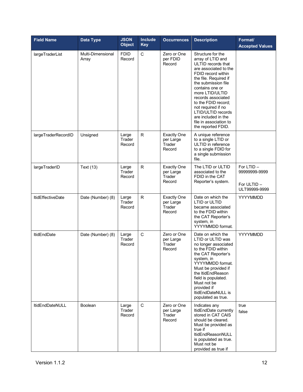| <b>Field Name</b>        | <b>Data Type</b>           | <b>JSON</b><br><b>Object</b> | <b>Include</b><br><b>Key</b> | <b>Occurrences</b>                                  | <b>Description</b>                                                                                                                                                                                                                                                                                                                                                | Format/<br><b>Accepted Values</b>                           |
|--------------------------|----------------------------|------------------------------|------------------------------|-----------------------------------------------------|-------------------------------------------------------------------------------------------------------------------------------------------------------------------------------------------------------------------------------------------------------------------------------------------------------------------------------------------------------------------|-------------------------------------------------------------|
| largeTraderList          | Multi-Dimensional<br>Array | <b>FDID</b><br>Record        | $\mathsf C$                  | Zero or One<br>per FDID<br>Record                   | Structure for the<br>array of LTID and<br>ULTID records that<br>are associated to the<br>FDID record within<br>the file. Required if<br>the submission file<br>contains one or<br>more LTID/ULTID<br>records associated<br>to the FDID record;<br>not required if no<br>LTID/ULTID records<br>are included in the<br>file in association to<br>the reported FDID. |                                                             |
| largeTraderRecordID      | Unsigned                   | Large<br>Trader<br>Record    | R                            | <b>Exactly One</b><br>per Large<br>Trader<br>Record | A unique reference<br>to a single LTID or<br>ULTID in reference<br>to a single FDID for<br>a single submission<br>file.                                                                                                                                                                                                                                           |                                                             |
| largeTraderID            | Text (13)                  | Large<br>Trader<br>Record    | R                            | <b>Exactly One</b><br>per Large<br>Trader<br>Record | The LTID or ULTID<br>associated to the<br>FDID in the CAT<br>Reporter's system.                                                                                                                                                                                                                                                                                   | For LTID -<br>99999999-9999<br>For ULTID -<br>ULT99999-9999 |
| <b>ItidEffectiveDate</b> | Date (Number) (8)          | Large<br>Trader<br>Record    | $\mathsf{R}$                 | <b>Exactly One</b><br>per Large<br>Trader<br>Record | Date on which the<br>LTID or ULTID<br>became associated<br>to the FDID within<br>the CAT Reporter's<br>system, in<br>YYYYMMDD format.                                                                                                                                                                                                                             | YYYYMMDD                                                    |
| <b>ItidEndDate</b>       | Date (Number) (8)          | Large<br>Trader<br>Record    | $\mathsf C$                  | Zero or One<br>per Large<br>Trader<br>Record        | Date on which the<br>LTID or ULTID was<br>no longer associated<br>to the FDID within<br>the CAT Reporter's<br>system, in<br>YYYYMMDD format.<br>Must be provided if<br>the ItidEndReason<br>field is populated.<br>Must not be<br>provided if<br>ItidEndDateNULL is<br>populated as true.                                                                         | YYYYMMDD                                                    |
| <b>ItidEndDateNULL</b>   | <b>Boolean</b>             | Large<br>Trader<br>Record    | C                            | Zero or One<br>per Large<br>Trader<br>Record        | Indicates any<br>ItidEndDate currently<br>stored in CAT CAIS<br>should be cleared.<br>Must be provided as<br>true if<br><b>ItidEndReasonNULL</b><br>is populated as true.<br>Must not be<br>provided as true if                                                                                                                                                   | true<br>false                                               |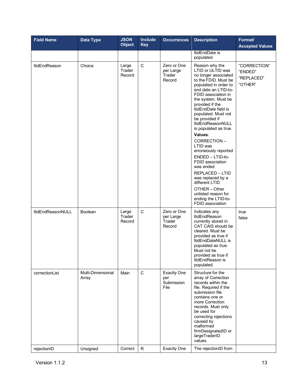| <b>Field Name</b>    | Data Type                  | <b>JSON</b><br><b>Object</b> | <b>Include</b><br><b>Key</b> | <b>Occurrences</b>                              | <b>Description</b>                                                                                                                                                                                                                                                                                                                                                                                                                                                                                                                                                                                 | Format/<br><b>Accepted Values</b>                |
|----------------------|----------------------------|------------------------------|------------------------------|-------------------------------------------------|----------------------------------------------------------------------------------------------------------------------------------------------------------------------------------------------------------------------------------------------------------------------------------------------------------------------------------------------------------------------------------------------------------------------------------------------------------------------------------------------------------------------------------------------------------------------------------------------------|--------------------------------------------------|
|                      |                            |                              |                              |                                                 | ItidEndDate is<br>populated.                                                                                                                                                                                                                                                                                                                                                                                                                                                                                                                                                                       |                                                  |
| <b>ItidEndReason</b> | Choice                     | Large<br>Trader<br>Record    | C                            | Zero or One<br>per Large<br>Trader<br>Record    | Reason why the<br>LTID or ULTID was<br>no longer associated<br>to the FDID. Must be<br>populated in order to<br>end date an LTID-to-<br>FDID association in<br>the system. Must be<br>provided if the<br>ItidEndDate field is<br>populated. Must not<br>be provided if<br><b>ItidEndReasonNULL</b><br>is populated as true.<br>Values:<br>CORRECTION-<br>LTID was<br>erroneously reported<br>ENDED - LTID-to-<br>FDID association<br>was ended<br><b>REPLACED - LTID</b><br>was replaced by a<br>different LTID<br>OTHER - Other<br>unlisted reason for<br>ending the LTID-to-<br>FDID association | "CORRECTION"<br>"ENDED"<br>"REPLACED"<br>"OTHER" |
| ItidEndReasonNULL    | Boolean                    | Large<br>Trader<br>Record    | $\mathsf{C}$                 | Zero or One<br>per Large<br>Trader<br>Record    | Indicates any<br><b>ItidEndReason</b><br>currently stored in<br>CAT CAIS should be<br>cleared. Must be<br>provided as true if<br>ItidEndDateNULL is<br>populated as true.<br>Must not be<br>provided as true if<br>ItidEndReason is<br>populated.                                                                                                                                                                                                                                                                                                                                                  | true<br>false                                    |
| correctionList       | Multi-Dimensional<br>Array | Main                         | $\mathbf C$                  | <b>Exactly One</b><br>per<br>Submission<br>File | Structure for the<br>array of Correction<br>records within the<br>file. Required if the<br>submission file<br>contains one or<br>more Correction<br>records. Must only<br>be used for<br>correcting rejections<br>caused by<br>malformed<br>firmDesignatedID or<br>largeTraderID<br>values.                                                                                                                                                                                                                                                                                                        |                                                  |
| rejectionID          | Unsigned                   | Correct                      | $\mathsf{R}$                 | <b>Exactly One</b>                              | The rejectionID from                                                                                                                                                                                                                                                                                                                                                                                                                                                                                                                                                                               |                                                  |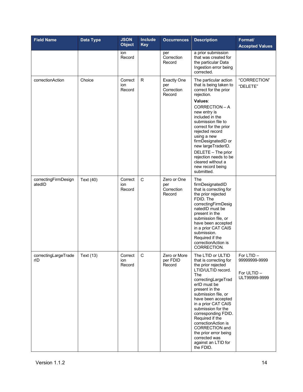| <b>Field Name</b>              | <b>Data Type</b> | <b>JSON</b><br><b>Object</b> | <b>Include</b><br><b>Key</b> | <b>Occurrences</b>                                | <b>Description</b>                                                                                                                                                                                                                                                                                                                                                                                                 | Format/<br><b>Accepted Values</b>                           |
|--------------------------------|------------------|------------------------------|------------------------------|---------------------------------------------------|--------------------------------------------------------------------------------------------------------------------------------------------------------------------------------------------------------------------------------------------------------------------------------------------------------------------------------------------------------------------------------------------------------------------|-------------------------------------------------------------|
|                                |                  | ion<br>Record                |                              | per<br>Correction<br>Record                       | a prior submission<br>that was created for<br>the particular Data<br>Ingestion error being<br>corrected.                                                                                                                                                                                                                                                                                                           |                                                             |
| correctionAction               | Choice           | Correct<br>ion<br>Record     | $\mathsf{R}$                 | <b>Exactly One</b><br>per<br>Correction<br>Record | The particular action<br>that is being taken to<br>correct for the prior<br>rejection.<br>Values:<br>CORRECTION - A<br>new entry is<br>included in the<br>submission file to<br>correct for the prior<br>rejected record<br>using a new<br>firmDesignatedID or<br>new largeTraderID.<br>DELETE - The prior<br>rejection needs to be<br>cleared without a<br>new record being<br>submitted.                         | "CORRECTION"<br>"DELETE"                                    |
| correctingFirmDesign<br>atedID | Text (40)        | Correct<br>ion<br>Record     | $\mathbf C$                  | Zero or One<br>per<br>Correction<br>Record        | The<br>firmDesignatedID<br>that is correcting for<br>the prior rejected<br>FDID. The<br>correctingFirmDesig<br>natedID must be<br>present in the<br>submission file, or<br>have been accepted<br>in a prior CAT CAIS<br>submission.<br>Required if the<br>correctionAction is<br>CORRECTION.                                                                                                                       |                                                             |
| correctingLargeTrade<br>rID    | Text (13)        | Correct<br>ion<br>Record     | C                            | Zero or More<br>per FDID<br>Record                | The LTID or ULTID<br>that is correcting for<br>the prior rejected<br>LTID/ULTID record.<br>The<br>correctingLargeTrad<br>erID must be<br>present in the<br>submission file, or<br>have been accepted<br>in a prior CAT CAIS<br>submission for the<br>corresponding FDID.<br>Required if the<br>correctionAction is<br>CORRECTION and<br>the prior error being<br>corrected was<br>against an LTID for<br>the FDID. | For LTID -<br>99999999-9999<br>For ULTID -<br>ULT99999-9999 |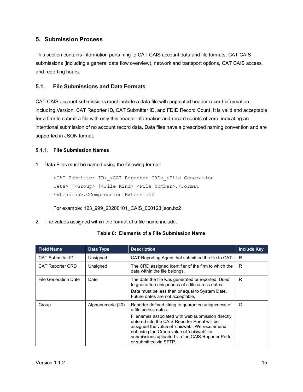#### <span id="page-20-0"></span>**5. Submission Process**

This section contains information pertaining to CAT CAIS account data and file formats, CAT CAIS submissions (including a general data flow overview), network and transport options, CAT CAIS access, and reporting hours.

#### <span id="page-20-1"></span>**5.1. File Submissions and Data Formats**

CAT CAIS account submissions must include a data file with populated header record information, including Version, CAT Reporter ID, CAT Submitter ID, and FDID Record Count. It is valid and acceptable for a firm to submit a file with only this header information and record counts of zero, indicating an intentional submission of no account record data. Data files have a prescribed naming convention and are supported in JSON format.

#### <span id="page-20-2"></span>**File Submission Names**

1. Data Files must be named using the following format:

```
<CAT Submitter ID>_<CAT Reporter CRD>_<File Generation 
Date> [<Group> ]<File Kind> <File Number>.<Format
Extension>.<Compression Extension>
```
For example: 123\_999\_20200101\_CAIS\_000123.json.bz2

2. The values assigned within the format of a file name include:

| Table 6: Elements of a File Submission Name |  |
|---------------------------------------------|--|
|---------------------------------------------|--|

| <b>Field Name</b>           | Data Type         | <b>Description</b>                                                                                                                                                                                                                                                                                                                                             | <b>Include Key</b> |
|-----------------------------|-------------------|----------------------------------------------------------------------------------------------------------------------------------------------------------------------------------------------------------------------------------------------------------------------------------------------------------------------------------------------------------------|--------------------|
| <b>CAT Submitter ID</b>     | Unsigned          | CAT Reporting Agent that submitted the file to CAT.                                                                                                                                                                                                                                                                                                            | R                  |
| <b>CAT Reporter CRD</b>     | Unsigned          | The CRD assigned identifier of the firm to which the<br>data within the file belongs.                                                                                                                                                                                                                                                                          | R                  |
| <b>File Generation Date</b> | Date              | The date the file was generated or reported. Used<br>to guarantee uniqueness of a file across dates.<br>Date must be less than or equal to System Date.<br>Future dates are not acceptable.                                                                                                                                                                    | R                  |
| Group                       | Alphanumeric (20) | Reporter defined string to guarantee uniqueness of<br>a file across dates.<br>Filenames associated with web submission directly<br>entered into the CAIS Reporter Portal will be<br>assigned the value of 'caisweb'. We recommend<br>not using the Group value of 'caisweb' for<br>submissions uploaded via the CAIS Reporter Portal<br>or submitted via SFTP. | $\Omega$           |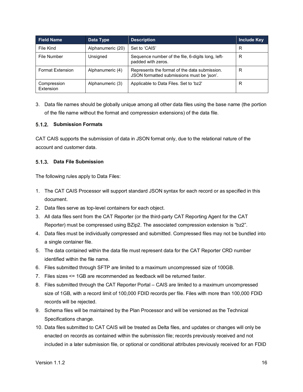| <b>Field Name</b>        | Data Type         | <b>Description</b>                                                                          | <b>Include Key</b> |
|--------------------------|-------------------|---------------------------------------------------------------------------------------------|--------------------|
| File Kind                | Alphanumeric (20) | Set to 'CAIS'                                                                               | R                  |
| File Number              | Unsigned          | Sequence number of the file, 6-digits long, left-<br>padded with zeros.                     | R                  |
| <b>Format Extension</b>  | Alphanumeric (4)  | Represents the format of the data submission.<br>JSON formatted submissions must be 'json'. | R                  |
| Compression<br>Extension | Alphanumeric (3)  | Applicable to Data Files. Set to 'bz2'                                                      | R                  |

3. Data file names should be globally unique among all other data files using the base name (the portion of the file name without the format and compression extensions) of the data file.

#### <span id="page-21-0"></span>**Submission Formats**

CAT CAIS supports the submission of data in JSON format only, due to the relational nature of the account and customer data.

#### <span id="page-21-1"></span>**Data File Submission**

The following rules apply to Data Files:

- 1. The CAT CAIS Processor will support standard JSON syntax for each record or as specified in this document.
- 2. Data files serve as top-level containers for each object.
- 3. All data files sent from the CAT Reporter (or the third-party CAT Reporting Agent for the CAT Reporter) must be compressed using BZip2. The associated compression extension is "bz2".
- 4. Data files must be individually compressed and submitted. Compressed files may not be bundled into a single container file.
- 5. The data contained within the data file must represent data for the CAT Reporter CRD number identified within the file name.
- 6. Files submitted through SFTP are limited to a maximum uncompressed size of 100GB.
- 7. Files sizes <= 1GB are recommended as feedback will be returned faster.
- 8. Files submitted through the CAT Reporter Portal CAIS are limited to a maximum uncompressed size of 1GB, with a record limit of 100,000 FDID records per file. Files with more than 100,000 FDID records will be rejected.
- 9. Schema files will be maintained by the Plan Processor and will be versioned as the Technical Specifications change.
- 10. Data files submitted to CAT CAIS will be treated as Delta files, and updates or changes will only be enacted on records as contained within the submission file; records previously received and not included in a later submission file, or optional or conditional attributes previously received for an FDID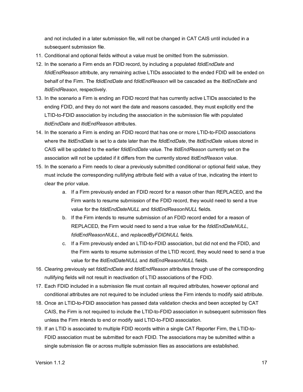and not included in a later submission file, will not be changed in CAT CAIS until included in a subsequent submission file.

- 11. Conditional and optional fields without a value must be omitted from the submission.
- 12. In the scenario a Firm ends an FDID record, by including a populated *fdidEndDate* and *fdidEndReason* attribute, any remaining active LTIDs associated to the ended FDID will be ended on behalf of the Firm. The *fdidEndDate* and *fdidEndReason* will be cascaded as the *ltidEndDate* and *ltidEndReason*, respectively.
- 13. In the scenario a Firm is ending an FDID record that has currently active LTIDs associated to the ending FDID, and they do not want the date and reasons cascaded, they must explicitly end the LTID-to-FDID association by including the association in the submission file with populated *ltidEndDate* and *ltidEndReason* attributes.
- 14. In the scenario a Firm is ending an FDID record that has one or more LTID-to-FDID associations where the *ltidEndDate* is set to a date later than the *fdidEndDate*, the *ltidEndDate* values stored in CAIS will be updated to the earlier *fdidEndDate* value. The *ltidEndReason* currently set on the association will not be updated if it differs from the currently stored *ltidEndReason* value.
- 15. In the scenario a Firm needs to clear a previously submitted conditional or optional field value, they must include the corresponding nullifying attribute field with a value of true, indicating the intent to clear the prior value.
	- a. If a Firm previously ended an FDID record for a reason other than REPLACED, and the Firm wants to resume submission of the FDID record, they would need to send a true value for the *fdidEndDateNULL* and *fdidEndReasonNULL* fields.
	- b. If the Firm intends to resume submission of an FDID record ended for a reason of REPLACED, the Firm would need to send a true value for the *fdidEndDateNULL*, *fdidEndReasonNULL*, and *replacedByFDIDNULL* fields.
	- c. If a Firm previously ended an LTID-to-FDID association, but did not end the FDID, and the Firm wants to resume submission of the LTID record, they would need to send a true value for the *ltidEndDateNULL* and *ltidEndReasonNULL* fields.
- 16. Clearing previously set *fdidEndDate* and *fdidEndReason* attributes through use of the corresponding nullifying fields will not result in reactivation of LTID associations of the FDID.
- 17. Each FDID included in a submission file must contain all required attributes, however optional and conditional attributes are not required to be included unless the Firm intends to modify said attribute.
- 18. Once an LTID-to-FDID association has passed data validation checks and been accepted by CAT CAIS, the Firm is not required to include the LTID-to-FDID association in subsequent submission files unless the Firm intends to end or modify said LTID-to-FDID association.
- 19. If an LTID is associated to multiple FDID records within a single CAT Reporter Firm, the LTID-to-FDID association must be submitted for each FDID. The associations may be submitted within a single submission file or across multiple submission files as associations are established.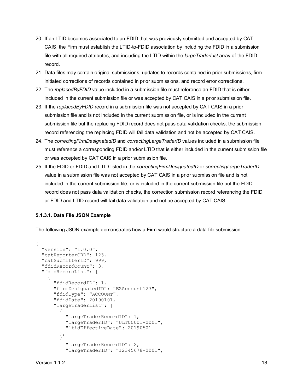- 20. If an LTID becomes associated to an FDID that was previously submitted and accepted by CAT CAIS, the Firm must establish the LTID-to-FDID association by including the FDID in a submission file with all required attributes, and including the LTID within the *largeTraderList* array of the FDID record.
- 21. Data files may contain original submissions, updates to records contained in prior submissions, firminitiated corrections of records contained in prior submissions, and record error corrections.
- 22. The *replacedByFDID* value included in a submission file must reference an FDID that is either included in the current submission file or was accepted by CAT CAIS in a prior submission file.
- 23. If the *replacedByFDID* record in a submission file was not accepted by CAT CAIS in a prior submission file and is not included in the current submission file, or is included in the current submission file but the replacing FDID record does not pass data validation checks, the submission record referencing the replacing FDID will fail data validation and not be accepted by CAT CAIS.
- 24. The *correctingFirmDesignatedID* and *correctingLargeTraderID* values included in a submission file must reference a corresponding FDID and/or LTID that is either included in the current submission file or was accepted by CAT CAIS in a prior submission file.
- 25. If the FDID or FDID and LTID listed in the *correctingFirmDesignatedID* or *correctingLargeTraderID* value in a submission file was not accepted by CAT CAIS in a prior submission file and is not included in the current submission file, or is included in the current submission file but the FDID record does not pass data validation checks, the correction submission record referencing the FDID or FDID and LTID record will fail data validation and not be accepted by CAT CAIS.

#### **5.1.3.1. Data File JSON Example**

The following JSON example demonstrates how a Firm would structure a data file submission.

```
{
   "version": "1.0.0",
   "catReporterCRD": 123,
   "catSubmitterID": 999,
   "fdidRecordCount": 3,
   "fdidRecordList": [
\left\{\begin{array}{c} \end{array}\right\} "fdidRecordID": 1, 
        "firmDesignatedID": "EZAccount123",
        "fdidType": "ACCOUNT",
        "fdidDate": 20190101,
        "largeTraderList": [
\{ "largeTraderRecordID": 1,
             "largeTraderID": "ULT00001-0001",
             "ltidEffectiveDate": 20190501
           },
\left\{ \begin{array}{c} 1 & 1 \\ 1 & 1 \end{array} \right\} "largeTraderRecordID": 2,
             "largeTraderID": "12345678-0001",
```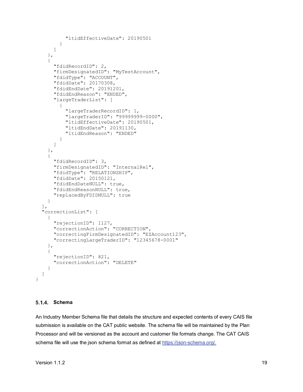```
 "ltidEffectiveDate": 20190501
 }
       ]
    },
     {
       "fdidRecordID": 2,
       "firmDesignatedID": "MyTestAccount",
       "fdidType": "ACCOUNT",
       "fdidDate": 20170308,
       "fdidEndDate": 20191201,
       "fdidEndReason": "ENDED",
       "largeTraderList": [
\{ "largeTraderRecordID": 1,
           "largeTraderID": "99999999-0000",
           "ltidEffectiveDate": 20190501,
           "ltidEndDate": 20191130,
         "ltidEndReason": "ENDED"
 }
       ]
    },
     {
       "fdidRecordID": 3,
       "firmDesignatedID": "InternalRel",
       "fdidType": "RELATIONSHIP",
       "fdidDate": 20150121,
       "fdidEndDateNULL": true,
       "fdidEndReasonNULL": true,
       "replacedByFDIDNULL": true
     }
  ],
  "correctionList": [
    {
       "rejectionID": 1127,
       "correctionAction": "CORRECTION",
       "correctingFirmDesignatedID": "EZAccount123",
       "correctingLargeTraderID": "12345678-0001"
    },
     {
       "rejectionID": 821,
       "correctionAction": "DELETE"
    }
  ]
```
#### <span id="page-24-0"></span>**Schema**

}

An Industry Member Schema file that details the structure and expected contents of every CAIS file submission is available on the CAT public website. The schema file will be maintained by the Plan Processor and will be versioned as the account and customer file formats change. The CAT CAIS schema file will use the json schema format as defined at [https://json-schema.org/.](https://json-schema.org/)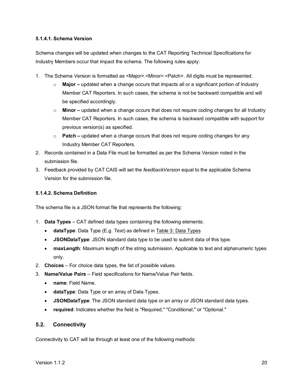#### **5.1.4.1. Schema Version**

Schema changes will be updated when changes to the CAT Reporting Technical Specifications for Industry Members occur that impact the schema. The following rules apply:

- 1. The Schema Version is formatted as <Major>.<Minor>.<Patch>. All digits must be represented.
	- o **Major –** updated when a change occurs that impacts all or a significant portion of Industry Member CAT Reporters. In such cases, the schema is not be backward compatible and will be specified accordingly.
	- o **Minor –** updated when a change occurs that does not require coding changes for all Industry Member CAT Reporters. In such cases, the schema is backward compatible with support for previous version(s) as specified.
	- o **Patch –** updated when a change occurs that does not require coding changes for any Industry Member CAT Reporters.
- 2. Records contained in a Data File must be formatted as per the Schema Version noted in the submission file.
- 3. Feedback provided by CAT CAIS will set the *feedbackVersion* equal to the applicable Schema Version for the submission file.

#### **5.1.4.2. Schema Definition**

The schema file is a JSON format file that represents the following:

- 1. **Data Types** CAT defined data types containing the following elements:
	- **dataType**: Data Type (E.g. Text) as defined in [Table 3: Data Types](#page-10-1)
	- **JSONDataType**: JSON standard data type to be used to submit data of this type.
	- **maxLength**: Maximum length of the string submission. Applicable to text and alphanumeric types only.
- 2. **Choices** For choice data types, the list of possible values.
- 3. **Name/Value Pairs**  Field specifications for Name/Value Pair fields.
	- **name**: Field Name.
	- **dataType**: Data Type or an array of Data Types.
	- **JSONDataType**: The JSON standard data type or an array or JSON standard data types.
	- **required**: Indicates whether the field is "Required," "Conditional," or "Optional."

#### <span id="page-25-0"></span>**5.2. Connectivity**

Connectivity to CAT will be through at least one of the following methods: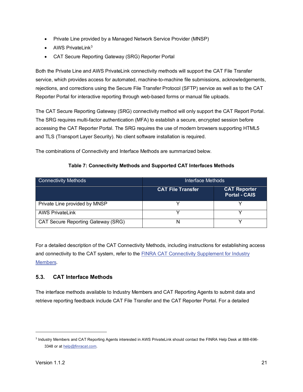- Private Line provided by a Managed Network Service Provider (MNSP)
- AWS PrivateLink $3$
- CAT Secure Reporting Gateway (SRG) Reporter Portal

Both the Private Line and AWS PrivateLink connectivity methods will support the CAT File Transfer service, which provides access for automated, machine-to-machine file submissions, acknowledgements, rejections, and corrections using the Secure File Transfer Protocol (SFTP) service as well as to the CAT Reporter Portal for interactive reporting through web-based forms or manual file uploads.

The CAT Secure Reporting Gateway (SRG) connectivity method will only support the CAT Report Portal. The SRG requires multi-factor authentication (MFA) to establish a secure, encrypted session before accessing the CAT Reporter Portal. The SRG requires the use of modern browsers supporting HTML5 and TLS (Transport Layer Security). No client software installation is required.

The combinations of Connectivity and Interface Methods are summarized below.

| <b>Connectivity Methods</b>        | Interface Methods        |                                             |  |  |
|------------------------------------|--------------------------|---------------------------------------------|--|--|
|                                    | <b>CAT File Transfer</b> | <b>CAT Reporter</b><br><b>Portal - CAIS</b> |  |  |
| Private Line provided by MNSP      |                          |                                             |  |  |
| <b>AWS PrivateLink</b>             |                          |                                             |  |  |
| CAT Secure Reporting Gateway (SRG) |                          |                                             |  |  |

#### **Table 7: Connectivity Methods and Supported CAT Interfaces Methods**

For a detailed description of the CAT Connectivity Methods, including instructions for establishing access and connectivity to the CAT system, refer to the [FINRA CAT Connectivity Supplement for Industry](https://www.catnmsplan.com/registration/)  [Members.](https://www.catnmsplan.com/registration/)

#### <span id="page-26-0"></span>**5.3. CAT Interface Methods**

The interface methods available to Industry Members and CAT Reporting Agents to submit data and retrieve reporting feedback include CAT File Transfer and the CAT Reporter Portal. For a detailed

<span id="page-26-1"></span><sup>3</sup> Industry Members and CAT Reporting Agents interested in AWS PrivateLink should contact the FINRA Help Desk at 888-696 3348 or at [help@finracat.com.](mailto:help@finracat.com)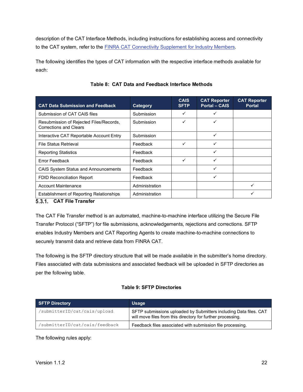description of the CAT Interface Methods, including instructions for establishing access and connectivity to the CAT system, refer to the **FINRA CAT Connectivity Supplement for Industry Members**.

The following identifies the types of CAT information with the respective interface methods available for each:

<span id="page-27-1"></span>

| <b>CAT Data Submission and Feedback</b>                                                            | Category       | <b>CAIS</b><br><b>SFTP</b> | <b>CAT Reporter</b><br><b>Portal - CAIS</b> | <b>CAT Reporter</b><br><b>Portal</b> |
|----------------------------------------------------------------------------------------------------|----------------|----------------------------|---------------------------------------------|--------------------------------------|
| Submission of CAT CAIS files                                                                       | Submission     |                            | ✓                                           |                                      |
| Resubmission of Rejected Files/Records,<br><b>Corrections and Clears</b>                           | Submission     |                            | ✓                                           |                                      |
| Interactive CAT Reportable Account Entry                                                           | Submission     |                            | ✓                                           |                                      |
| <b>File Status Retrieval</b>                                                                       | Feedback       | ✓                          | ✓                                           |                                      |
| <b>Reporting Statistics</b>                                                                        | Feedback       |                            | ✓                                           |                                      |
| Error Feedback                                                                                     | Feedback       | ✓                          | ✓                                           |                                      |
| <b>CAIS System Status and Announcements</b>                                                        | Feedback       |                            | ✓                                           |                                      |
| <b>FDID Reconciliation Report</b>                                                                  | Feedback       |                            | ✓                                           |                                      |
| <b>Account Maintenance</b>                                                                         | Administration |                            |                                             | ✓                                    |
| <b>Establishment of Reporting Relationships</b><br>$E \uparrow 4$ $CAT$ $E_{16}$ $T_{20}$ $D_{21}$ | Administration |                            |                                             |                                      |

#### **Table 8: CAT Data and Feedback Interface Methods**

#### <span id="page-27-0"></span>**CAT File Transfer**

The CAT File Transfer method is an automated, machine-to-machine interface utilizing the Secure File Transfer Protocol ("SFTP") for file submissions, acknowledgements, rejections and corrections. SFTP enables Industry Members and CAT Reporting Agents to create machine-to-machine connections to securely transmit data and retrieve data from FINRA CAT.

The following is the SFTP directory structure that will be made available in the submitter's home directory. Files associated with data submissions and associated feedback will be uploaded in SFTP directories as per the following table.

#### **Table 9: SFTP Directories**

| <b>SFTP Directory</b>          | <b>Usage</b>                                                                                                                     |
|--------------------------------|----------------------------------------------------------------------------------------------------------------------------------|
| /submitterID/cat/cais/upload   | SFTP submissions uploaded by Submitters including Data files. CAT<br>will move files from this directory for further processing. |
| /submitterID/cat/cais/feedback | Feedback files associated with submission file processing.                                                                       |

The following rules apply: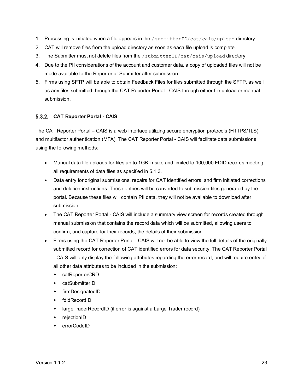- 1. Processing is initiated when a file appears in the /submitterID/cat/cais/upload directory.
- 2. CAT will remove files from the upload directory as soon as each file upload is complete.
- 3. The Submitter must not delete files from the /submitterID/cat/cais/upload directory.
- 4. Due to the PII considerations of the account and customer data, a copy of uploaded files will not be made available to the Reporter or Submitter after submission.
- 5. Firms using SFTP will be able to obtain Feedback Files for files submitted through the SFTP, as well as any files submitted through the CAT Reporter Portal - CAIS through either file upload or manual submission.

#### <span id="page-28-0"></span>**CAT Reporter Portal - CAIS**

The CAT Reporter Portal – CAIS is a web interface utilizing secure encryption protocols (HTTPS/TLS) and multifactor authentication (MFA). The CAT Reporter Portal - CAIS will facilitate data submissions using the following methods:

- Manual data file uploads for files up to 1GB in size and limited to 100,000 FDID records meeting all requirements of data files as specified in [5.1.3.](#page-21-1)
- Data entry for original submissions, repairs for CAT identified errors, and firm initiated corrections and deletion instructions. These entries will be converted to submission files generated by the portal. Because these files will contain PII data, they will not be available to download after submission.
- The CAT Reporter Portal CAIS will include a summary view screen for records created through manual submission that contains the record data which will be submitted, allowing users to confirm, and capture for their records, the details of their submission.
- Firms using the CAT Reporter Portal CAIS will not be able to view the full details of the originally submitted record for correction of CAT identified errors for data security. The CAT Reporter Portal - CAIS will only display the following attributes regarding the error record, and will require entry of all other data attributes to be included in the submission:
	- catReporterCRD
	- catSubmitterID
	- firmDesignatedID
	- fdidRecordID
	- largeTraderRecordID (if error is against a Large Trader record)
	- ◆ rejectionID
	- errorCodeID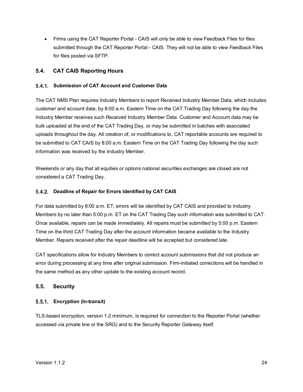• Firms using the CAT Reporter Portal - CAIS will only be able to view Feedback Files for files submitted through the CAT Reporter Portal - CAIS. They will not be able to view Feedback Files for files posted via SFTP.

#### <span id="page-29-0"></span>**5.4. CAT CAIS Reporting Hours**

#### <span id="page-29-1"></span>**Submission of CAT Account and Customer Data**

The CAT NMS Plan requires Industry Members to report Received Industry Member Data, which includes customer and account data, by 8:00 a.m. Eastern Time on the CAT Trading Day following the day the Industry Member receives such Received Industry Member Data. Customer and Account data may be bulk uploaded at the end of the CAT Trading Day, or may be submitted in batches with associated uploads throughout the day. All creation of, or modifications to, CAT reportable accounts are required to be submitted to CAT CAIS by 8:00 a.m. Eastern Time on the CAT Trading Day following the day such information was received by the Industry Member.

Weekends or any day that all equities or options national securities exchanges are closed are not considered a CAT Trading Day.

#### <span id="page-29-2"></span>**Deadline of Repair for Errors Identified by CAT CAIS**

For data submitted by 8:00 a.m. ET, errors will be identified by CAT CAIS and provided to Industry Members by no later than 5:00 p.m. ET on the CAT Trading Day such information was submitted to CAT. Once available, repairs can be made immediately. All repairs must be submitted by 5:00 p.m. Eastern Time on the third CAT Trading Day after the account information became available to the Industry Member. Repairs received after the repair deadline will be accepted but considered late.

CAT specifications allow for Industry Members to correct account submissions that did not produce an error during processing at any time after original submission. Firm-initiated corrections will be handled in the same method as any other update to the existing account record.

#### <span id="page-29-3"></span>**5.5. Security**

#### <span id="page-29-4"></span>**Encryption (In-transit)**

TLS-based encryption, version 1.2 minimum, is required for connection to the Reporter Portal (whether accessed via private line or the SRG) and to the Security Reporter Gateway itself.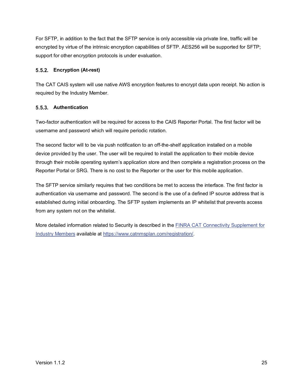For SFTP, in addition to the fact that the SFTP service is only accessible via private line, traffic will be encrypted by virtue of the intrinsic encryption capabilities of SFTP. AES256 will be supported for SFTP; support for other encryption protocols is under evaluation.

#### <span id="page-30-0"></span>**Encryption (At-rest)**

The CAT CAIS system will use native AWS encryption features to encrypt data upon receipt. No action is required by the Industry Member.

#### <span id="page-30-1"></span>**Authentication**

Two-factor authentication will be required for access to the CAIS Reporter Portal. The first factor will be username and password which will require periodic rotation.

The second factor will to be via push notification to an off-the-shelf application installed on a mobile device provided by the user. The user will be required to install the application to their mobile device through their mobile operating system's application store and then complete a registration process on the Reporter Portal or SRG. There is no cost to the Reporter or the user for this mobile application.

The SFTP service similarly requires that two conditions be met to access the interface. The first factor is authentication via username and password. The second is the use of a defined IP source address that is established during initial onboarding. The SFTP system implements an IP whitelist that prevents access from any system not on the whitelist.

More detailed information related to Security is described in the **FINRA CAT Connectivity Supplement for** [Industry Members](https://www.catnmsplan.com/registration/) available at [https://www.catnmsplan.com/registration/.](https://www.catnmsplan.com/registration/)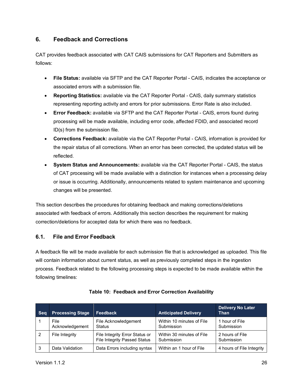#### <span id="page-31-0"></span>**6. Feedback and Corrections**

CAT provides feedback associated with CAT CAIS submissions for CAT Reporters and Submitters as follows:

- **File Status:** available via SFTP and the CAT Reporter Portal CAIS, indicates the acceptance or associated errors with a submission file.
- **Reporting Statistics:** available via the CAT Reporter Portal CAIS, daily summary statistics representing reporting activity and errors for prior submissions. Error Rate is also included.
- **Error Feedback:** available via SFTP and the CAT Reporter Portal CAIS, errors found during processing will be made available, including error code, affected FDID, and associated record ID(s) from the submission file.
- **Corrections Feedback:** available via the CAT Reporter Portal CAIS, information is provided for the repair status of all corrections. When an error has been corrected, the updated status will be reflected.
- **System Status and Announcements:** available via the CAT Reporter Portal CAIS, the status of CAT processing will be made available with a distinction for instances when a processing delay or issue is occurring. Additionally, announcements related to system maintenance and upcoming changes will be presented.

This section describes the procedures for obtaining feedback and making corrections/deletions associated with feedback of errors. Additionally this section describes the requirement for making correction/deletions for accepted data for which there was no feedback.

#### <span id="page-31-1"></span>**6.1. File and Error Feedback**

A feedback file will be made available for each submission file that is acknowledged as uploaded. This file will contain information about current status, as well as previously completed steps in the ingestion process. Feedback related to the following processing steps is expected to be made available within the following timelines:

| <b>Seg</b> | <b>Processing Stage</b> | Feedback                                                       | <b>Anticipated Delivery</b>             | <b>Delivery No Later</b><br><b>Than</b> |
|------------|-------------------------|----------------------------------------------------------------|-----------------------------------------|-----------------------------------------|
|            | File<br>Acknowledgement | File Acknowledgement<br>Status                                 | Within 10 minutes of File<br>Submission | 1 hour of File<br>Submission            |
| 2          | File Integrity          | File Integrity Error Status or<br>File Integrity Passed Status | Within 30 minutes of File<br>Submission | 2 hours of File<br>Submission           |
| -3         | Data Validation         | Data Errors including syntax                                   | Within an 1 hour of File                | 4 hours of File Integrity               |

#### **Table 10: Feedback and Error Correction Availability**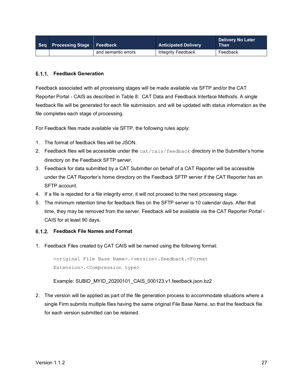| Seq Processing Stage Feedback |                     | <b>Anticipated Delivery</b> | <b>Delivery No Later</b><br><b>Than</b> |
|-------------------------------|---------------------|-----------------------------|-----------------------------------------|
|                               | and semantic errors | Integrity Feedback          | Feedback                                |

#### <span id="page-32-0"></span>**Feedback Generation**

Feedback associated with all processing stages will be made available via SFTP and/or the CAT Reporter Portal - CAIS as described in [Table 8: CAT Data and Feedback Interface](#page-27-1) Methods. A single feedback file will be generated for each file submission, and will be updated with status information as the file completes each stage of processing.

For Feedback files made available via SFTP, the following rules apply:

- 1. The format of feedback files will be JSON.
- 2. Feedback files will be accessible under the cat/cais/feedback directory in the Submitter's home directory on the Feedback SFTP server.
- 3. Feedback for data submitted by a CAT Submitter on behalf of a CAT Reporter will be accessible under the CAT Reporter's home directory on the Feedback SFTP server if the CAT Reporter has an SFTP account.
- 4. If a file is rejected for a file integrity error, it will not proceed to the next processing stage.
- 5. The minimum retention time for feedback files on the SFTP server is 10 calendar days. After that time, they may be removed from the server. Feedback will be available via the CAT Reporter Portal - CAIS for at least 90 days.

#### <span id="page-32-1"></span>**Feedback File Names and Format**

1. Feedback Files created by CAT CAIS will be named using the following format:

<original File Base Name>.<version>.feedback.<Format Extension>.<Compression type>

Example: SUBID\_MYID\_20200101\_CAIS\_000123.v1.feedback.json.bz2

2. The version will be applied as part of the file generation process to accommodate situations where a single Firm submits multiple files having the same original File Base Name, so that the feedback file for each version submitted can be retained.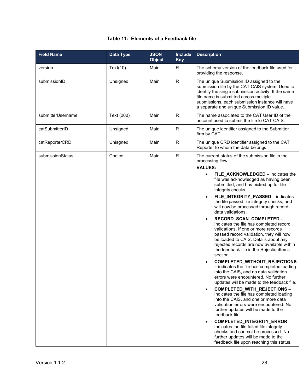#### **Table 11: Elements of a Feedback file**

| <b>Field Name</b> | Data Type  | <b>JSON</b><br><b>Object</b> | Include<br><b>Key</b> | <b>Description</b>                                                                                                                                                                                                                                                                                                                                                                                                                                                                                                                                                                                                                                                                                                                                                                                                                                                                                                                                                                                                                                                                                                                                                                                                                                                                                                                                                                                        |
|-------------------|------------|------------------------------|-----------------------|-----------------------------------------------------------------------------------------------------------------------------------------------------------------------------------------------------------------------------------------------------------------------------------------------------------------------------------------------------------------------------------------------------------------------------------------------------------------------------------------------------------------------------------------------------------------------------------------------------------------------------------------------------------------------------------------------------------------------------------------------------------------------------------------------------------------------------------------------------------------------------------------------------------------------------------------------------------------------------------------------------------------------------------------------------------------------------------------------------------------------------------------------------------------------------------------------------------------------------------------------------------------------------------------------------------------------------------------------------------------------------------------------------------|
| version           | Text(10)   | Main                         | R                     | The schema version of the feedback file used for<br>providing the response.                                                                                                                                                                                                                                                                                                                                                                                                                                                                                                                                                                                                                                                                                                                                                                                                                                                                                                                                                                                                                                                                                                                                                                                                                                                                                                                               |
| submissionID      | Unsigned   | Main                         | $\mathsf R$           | The unique Submission ID assigned to the<br>submission file by the CAT CAIS system. Used to<br>identify the single submission activity. If the same<br>file name is submitted across multiple<br>submissions, each submission instance will have<br>a separate and unique Submission ID value.                                                                                                                                                                                                                                                                                                                                                                                                                                                                                                                                                                                                                                                                                                                                                                                                                                                                                                                                                                                                                                                                                                            |
| submitterUsername | Text (200) | Main                         | R.                    | The name associated to the CAT User ID of the<br>account used to submit the file to CAT CAIS.                                                                                                                                                                                                                                                                                                                                                                                                                                                                                                                                                                                                                                                                                                                                                                                                                                                                                                                                                                                                                                                                                                                                                                                                                                                                                                             |
| catSubmitterID    | Unsigned   | Main                         | ${\sf R}$             | The unique identifier assigned to the Submitter<br>firm by CAT.                                                                                                                                                                                                                                                                                                                                                                                                                                                                                                                                                                                                                                                                                                                                                                                                                                                                                                                                                                                                                                                                                                                                                                                                                                                                                                                                           |
| catReporterCRD    | Unisgned   | Main                         | $\mathsf{R}$          | The unique CRD identifier assigned to the CAT<br>Reporter to whom the data belongs.                                                                                                                                                                                                                                                                                                                                                                                                                                                                                                                                                                                                                                                                                                                                                                                                                                                                                                                                                                                                                                                                                                                                                                                                                                                                                                                       |
| submissionStatus  | Choice     | Main                         | $\mathsf{R}$          | The current status of the submission file in the<br>processing flow.<br><b>VALUES:</b><br>FILE_ACKNOWLEDGED - indicates the<br>$\bullet$<br>file was acknowledged as having been<br>submitted, and has picked up for file<br>integrity checks.<br>FILE_INTEGRITY_PASSED - indicates<br>$\bullet$<br>the file passed file integrity checks, and<br>will now be processed through record<br>data validations.<br>RECORD_SCAN_COMPLETED -<br>$\bullet$<br>indicates the file has completed record<br>validations. If one or more records<br>passed record validation, they will now<br>be loaded to CAIS. Details about any<br>rejected records are now available within<br>the feedback file in the RejectionItems<br>section.<br>COMPLETED_WITHOUT_REJECTIONS<br>$\bullet$<br>- indicates the file has completed loading<br>into the CAIS, and no data validation<br>errors were encountered. No further<br>updates will be made to the feedback file.<br>COMPLETED_WITH_REJECTIONS -<br>$\bullet$<br>indicates the file has completed loading<br>into the CAIS, and one or more data<br>validation errors were encountered. No<br>further updates will be made to the<br>feedback file.<br>COMPLETED_INTEGRITY_ERROR -<br>$\bullet$<br>indicates the file failed file integrity<br>checks and can not be processed. No<br>further updates will be made to the<br>feedback file upon reaching this status. |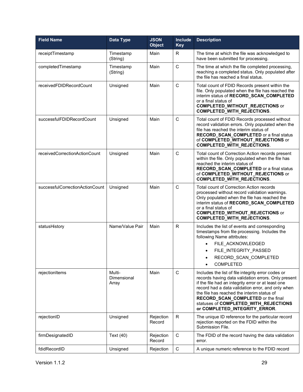| <b>Field Name</b>               | Data Type                      | <b>JSON</b><br><b>Object</b> | Include<br><b>Key</b> | <b>Description</b>                                                                                                                                                                                                                                                                                                                                                                 |
|---------------------------------|--------------------------------|------------------------------|-----------------------|------------------------------------------------------------------------------------------------------------------------------------------------------------------------------------------------------------------------------------------------------------------------------------------------------------------------------------------------------------------------------------|
| receiptTimestamp                | Timestamp<br>(String)          | Main                         | R                     | The time at which the file was acknowledged to<br>have been submitted for processing.                                                                                                                                                                                                                                                                                              |
| completedTimestamp              | Timestamp<br>(String)          | Main                         | $\mathsf{C}$          | The time at which the file completed processing,<br>reaching a completed status. Only populated after<br>the file has reached a final status.                                                                                                                                                                                                                                      |
| receivedFDIDRecordCount         | Unsigned                       | Main                         | $\mathsf{C}$          | Total count of FDID Records present within the<br>file. Only populated when the file has reached the<br>interim status of RECORD_SCAN_COMPLETED<br>or a final status of<br><b>COMPLETED_WITHOUT_REJECTIONS</b> or<br><b>COMPLETED_WITH_REJECTIONS.</b>                                                                                                                             |
| successfulFDIDRecordCount       | Unsigned                       | Main                         | C                     | Total count of FDID Records processed without<br>record validation errors. Only populated when the<br>file has reached the interim status of<br>RECORD_SCAN_COMPLETED or a final status<br>of COMPLETED_WITHOUT_REJECTIONS or<br><b>COMPLETED_WITH_REJECTIONS.</b>                                                                                                                 |
| receivedCorrectionActionCount   | Unsigned                       | Main                         | C                     | Total count of Correction Action records present<br>within the file. Only populated when the file has<br>reached the interim status of<br>RECORD_SCAN_COMPLETED or a final status<br>of COMPLETED_WITHOUT_REJECTIONS or<br><b>COMPLETED_WITH_REJECTIONS.</b>                                                                                                                       |
| successfulCorrectionActionCount | Unsigned                       | Main                         | C                     | Total count of Correction Action records<br>processed without record validation warnings.<br>Only populated when the file has reached the<br>interim status of RECORD_SCAN_COMPLETED<br>or a final status of<br><b>COMPLETED_WITHOUT_REJECTIONS</b> or<br>COMPLETED_WITH_REJECTIONS.                                                                                               |
| statusHistory                   | Name/Value Pair                | Main                         | $\mathsf{R}$          | Includes the list of events and corresponding<br>timestamps from file processing. Includes the<br>following Name attributes:<br>FILE ACKNOWLEDGED<br>FILE INTEGRITY PASSED<br>RECORD_SCAN_COMPLETED<br><b>COMPLETED</b>                                                                                                                                                            |
| rejectionItems                  | Multi-<br>Dimensional<br>Array | Main                         | $\mathsf C$           | Includes the list of file integrity error codes or<br>records having data validation errors. Only present<br>if the file had an integrity error or at least one<br>record had a data validation error, and only when<br>the file has reached the interim status of<br>RECORD_SCAN_COMPLETED or the final<br>statuses of COMPLETED_WITH_REJECTIONS<br>or COMPLETED_INTEGRITY_ERROR. |
| rejectionID                     | Unsigned                       | Rejection<br>Record          | $\mathsf{R}$          | The unique ID reference for the particular record<br>rejection reported on the FDID within the<br>Submission File.                                                                                                                                                                                                                                                                 |
| firmDesignatedID                | Text (40)                      | Rejection<br>Record          | $\mathsf{C}$          | The FDID of the record having the data validation<br>error.                                                                                                                                                                                                                                                                                                                        |
| fdidRecordID                    | Unsigned                       | Rejection                    | $\mathsf C$           | A unique numeric reference to the FDID record                                                                                                                                                                                                                                                                                                                                      |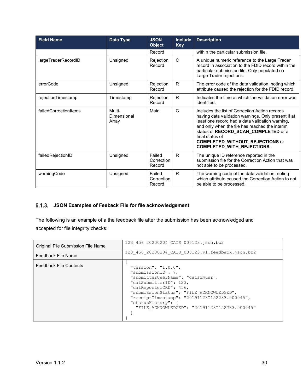| <b>Field Name</b>     | <b>Data Type</b>               | <b>JSON</b><br><b>Object</b>   | <b>Include</b><br><b>Key</b> | <b>Description</b>                                                                                                                                                                                                                                                                                                                                   |
|-----------------------|--------------------------------|--------------------------------|------------------------------|------------------------------------------------------------------------------------------------------------------------------------------------------------------------------------------------------------------------------------------------------------------------------------------------------------------------------------------------------|
|                       |                                | Record                         |                              | within the particular submission file.                                                                                                                                                                                                                                                                                                               |
| largeTraderRecordID   | Unsigned                       | Rejection<br>Record            | C                            | A unique numeric reference to the Large Trader<br>record in association to the FDID record within the<br>particular submission file. Only populated on<br>Large Trader rejections.                                                                                                                                                                   |
| errorCode             | Unsigned                       | Rejection<br>Record            | R.                           | The error code of the data validation, noting which<br>attribute caused the rejection for the FDID record.                                                                                                                                                                                                                                           |
| rejectionTimestamp    | Timestamp                      | Rejection<br>Record            | R                            | Indicates the time at which the validation error was<br>identified.                                                                                                                                                                                                                                                                                  |
| failedCorrectionItems | Multi-<br>Dimensional<br>Array | Main                           | $\mathsf{C}$                 | Includes the list of Correction Action records<br>having data validation warnings. Only present if at<br>least one record had a data validation warning,<br>and only when the file has reached the interim<br>status of RECORD_SCAN_COMPLETED or a<br>final status of<br><b>COMPLETED_WITHOUT_REJECTIONS</b> or<br><b>COMPLETED_WITH_REJECTIONS.</b> |
| failedRejectionID     | Unsigned                       | Failed<br>Correction<br>Record | R                            | The unique ID reference reported in the<br>submission file for the Correction Action that was<br>not able to be processed.                                                                                                                                                                                                                           |
| warningCode           | Unsigned                       | Failed<br>Correction<br>Record | $\mathsf{R}$                 | The warning code of the data validation, noting<br>which attribute caused the Correction Action to not<br>be able to be processed.                                                                                                                                                                                                                   |

#### <span id="page-35-0"></span>**JSON Examples of Feeback File for file acknowledgement**

The following is an example of a the feedback file after the submission has been acknowledged and accepted for file integrity checks:

| Original File Submission File Name | 123 456 20200204 CAIS 000123.json.bz2                                                                                                                                                                                                                                                                      |
|------------------------------------|------------------------------------------------------------------------------------------------------------------------------------------------------------------------------------------------------------------------------------------------------------------------------------------------------------|
| Feedback File Name                 | 123 456 20200204 CAIS 000123.v1.feedback.json.bz2                                                                                                                                                                                                                                                          |
| <b>Feedback File Contents</b>      | "version": " $1.0.0$ ",<br>"submissionID": 7,<br>"submitterUserName": "caisimusr",<br>"catSubmitterID": 123,<br>"catReporterCRD": 456,<br>"submissionStatus": "FILE ACKNOWLEDGED",<br>"receiptTimestamp": "20191123T152233.000045",<br>"statusHistory": {<br>"FILE ACKNOWLEDGED": "20191123T152233.000045" |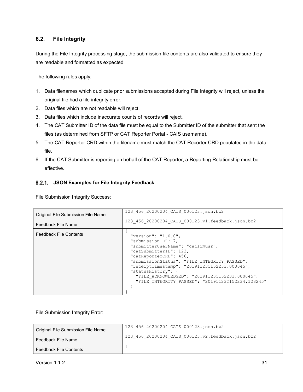#### <span id="page-36-0"></span>**6.2. File Integrity**

During the File Integrity processing stage, the submission file contents are also validated to ensure they are readable and formatted as expected.

The following rules apply:

- 1. Data filenames which duplicate prior submissions accepted during File Integrity will reject, unless the original file had a file integrity error.
- 2. Data files which are not readable will reject.
- 3. Data files which include inaccurate counts of records will reject.
- 4. The CAT Submitter ID of the data file must be equal to the Submitter ID of the submitter that sent the files (as determined from SFTP or CAT Reporter Portal - CAIS username).
- 5. The CAT Reporter CRD within the filename must match the CAT Reporter CRD populated in the data file.
- 6. If the CAT Submitter is reporting on behalf of the CAT Reporter, a Reporting Relationship must be effective.

#### <span id="page-36-1"></span>**JSON Examples for File Integrity Feedback**

File Submission Integrity Success:

| Original File Submission File Name | 123 456 20200204 CAIS 000123.json.bz2                                                                                                                                                                                                                                                                                                                                |
|------------------------------------|----------------------------------------------------------------------------------------------------------------------------------------------------------------------------------------------------------------------------------------------------------------------------------------------------------------------------------------------------------------------|
| Feedback File Name                 | 123 456 20200204 CAIS 000123.v1.feedback.json.bz2                                                                                                                                                                                                                                                                                                                    |
| <b>Feedback File Contents</b>      | "version": " $1.0.0$ ",<br>"submissionID": 7,<br>"submitterUserName": "caisimusr",<br>"catSubmitterID": 123,<br>"catReporterCRD": 456,<br>"submissionStatus": "FILE INTEGRITY PASSED",<br>"receiptTimestamp": "20191123T152233.000045",<br>"statusHistory": {<br>"FILE ACKNOWLEDGED": "20191123T152233.000045",<br>"FILE INTEGRITY PASSED": "20191123T152234.123245" |

File Submission Integrity Error:

| Original File Submission File Name | 123 456 20200204 CAIS 000123.json.bz2             |
|------------------------------------|---------------------------------------------------|
| Feedback File Name                 | 123 456 20200204 CAIS 000123.v2.feedback.json.bz2 |
| <b>Feedback File Contents</b>      |                                                   |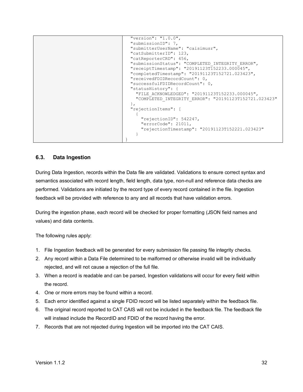```
 "version": "1.0.0",
  "submissionID": 7,
  "submitterUserName": "caisimusr",
  "catSubmitterID": 123,
  "catReporterCRD": 456,
  "submissionStatus": "COMPLETED_INTEGRITY_ERROR",
  "receiptTimestamp": "20191123T152233.000045",
  "completedTimestamp": "20191123T152721.023423",
  "receivedFDIDRecordCount": 0,
  "successfulFDIDRecordCount": 0,
  "statusHistory": {
    "FILE_ACKNOWLEDGED": "20191123T152233.000045",
     "COMPLETED_INTEGRITY_ERROR": "20191123T152721.023423"
  }, 
  "rejectionItems": [
    {
       "rejectionID": 542247,
      "errorCode": 21011,
      "rejectionTimestamp": "20191123T152221.023423"
     }
}
```
#### <span id="page-37-0"></span>**6.3. Data Ingestion**

During Data Ingestion, records within the Data file are validated. Validations to ensure correct syntax and semantics associated with record length, field length, data type, non-null and reference data checks are performed. Validations are initiated by the record type of every record contained in the file. Ingestion feedback will be provided with reference to any and all records that have validation errors.

During the ingestion phase, each record will be checked for proper formatting (JSON field names and values) and data contents.

The following rules apply:

- 1. File Ingestion feedback will be generated for every submission file passing file integrity checks.
- 2. Any record within a Data File determined to be malformed or otherwise invalid will be individually rejected, and will not cause a rejection of the full file.
- 3. When a record is readable and can be parsed, Ingestion validations will occur for every field within the record.
- 4. One or more errors may be found within a record.
- 5. Each error identified against a single FDID record will be listed separately within the feedback file.
- 6. The original record reported to CAT CAIS will not be included in the feedback file. The feedback file will instead include the RecordID and FDID of the record having the error.
- 7. Records that are not rejected during Ingestion will be imported into the CAT CAIS.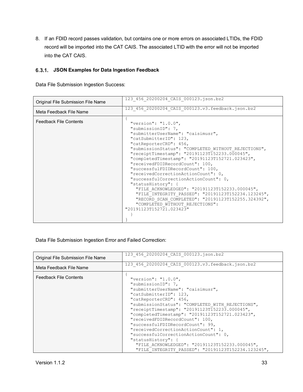8. If an FDID record passes validation, but contains one or more errors on associated LTIDs, the FDID record will be imported into the CAT CAIS. The associated LTID with the error will not be imported into the CAT CAIS.

#### <span id="page-38-0"></span>**JSON Examples for Data Ingestion Feedback**

Data File Submission Ingestion Success:

| Original File Submission File Name | 123 456 20200204 CAIS 000123.json.bz2                                                                                                                                                                                                                                                                                            |
|------------------------------------|----------------------------------------------------------------------------------------------------------------------------------------------------------------------------------------------------------------------------------------------------------------------------------------------------------------------------------|
| Meta Feedback File Name            | 123_456_20200204_CAIS_000123.v3.feedback.json.bz2                                                                                                                                                                                                                                                                                |
| <b>Feedback File Contents</b>      | "version": "1.0.0",<br>"submissionID": 7,<br>"submitterUserName": "caisimusr",<br>"catSubmitterID": 123,<br>"catReporterCRD": 456,<br>"submissionStatus": "COMPLETED WITHOUT REJECTIONS",                                                                                                                                        |
|                                    | "receiptTimestamp": "20191123T152233.000045",<br>"completedTimestamp": "20191123T152721.023423",<br>"receivedFDIDRecordCount": 100,<br>"successfulFDIDRecordCount": 100,<br>"receivedCorrectionActionCount": 0,<br>"successfulCorrectionActionCount": 0,<br>"statusHistory": {<br>"FILE ACKNOWLEDGED": "20191123T152233.000045", |
|                                    | "FILE INTEGRITY PASSED": "20191123T152234.123245",<br>"RECORD SCAN COMPLETED": "20191123T152255.324392",<br>"COMPLETED WITHOUT REJECTIONS":<br>"20191123T152721.023423"                                                                                                                                                          |

Data File Submission Ingestion Error and Failed Correction:

| Original File Submission File Name | 123 456 20200204 CAIS 000123.json.bz2                                                                                                                                                                                                                                                                                                                                                                        |
|------------------------------------|--------------------------------------------------------------------------------------------------------------------------------------------------------------------------------------------------------------------------------------------------------------------------------------------------------------------------------------------------------------------------------------------------------------|
| Meta Feedback File Name            | 123 456 20200204 CAIS 000123.v3.feedback.json.bz2                                                                                                                                                                                                                                                                                                                                                            |
| <b>Feedback File Contents</b>      | "version": " $1.0.0$ ",<br>"submissionID": 7,<br>"submitterUserName": "caisimusr",<br>"catSubmitterID": 123,<br>"catReporterCRD": 456,<br>"submissionStatus": "COMPLETED WITH REJECTIONS",<br>"receiptTimestamp": "20191123T152233.000045",<br>"completedTimestamp": "20191123T152721.023423",<br>"receivedFDIDRecordCount": 100,<br>"successfulFDIDRecordCount": 99,<br>"receivedCorrectionActionCount": 1, |
|                                    | "successfulCorrectionActionCount": 0,<br>"statusHistory":                                                                                                                                                                                                                                                                                                                                                    |
|                                    | "FILE ACKNOWLEDGED": "20191123T152233.000045",<br>"FILE INTEGRITY PASSED": "20191123T152234.123245",                                                                                                                                                                                                                                                                                                         |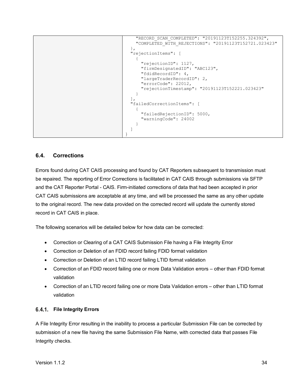```
 "RECORD_SCAN_COMPLETED": "20191123T152255.324392",
     "COMPLETED_WITH_REJECTIONS": "20191123T152721.023423"
  }, 
  "rejectionItems": [
    {
      "rejectionID": 1127,
       "firmDesignatedID": "ABC123",
       "fdidRecordID": 4,
       "largeTraderRecordID": 2,
       "errorCode": 22012,
       "rejectionTimestamp": "20191123T152221.023423"
    }
  ], 
  "failedCorrectionItems": [
    {
       "failedRejectionID": 5000,
       "warningCode": 24002
     }
  ]
}
```
#### <span id="page-39-0"></span>**6.4. Corrections**

Errors found during CAT CAIS processing and found by CAT Reporters subsequent to transmission must be repaired. The reporting of Error Corrections is facilitated in CAT CAIS through submissions via SFTP and the CAT Reporter Portal - CAIS. Firm-initiated corrections of data that had been accepted in prior CAT CAIS submissions are acceptable at any time, and will be processed the same as any other update to the original record. The new data provided on the corrected record will update the currently stored record in CAT CAIS in place.

The following scenarios will be detailed below for how data can be corrected:

- Correction or Clearing of a CAT CAIS Submission File having a File Integrity Error
- Correction or Deletion of an FDID record failing FDID format validation
- Correction or Deletion of an LTID record failing LTID format validation
- Correction of an FDID record failing one or more Data Validation errors other than FDID format validation
- Correction of an LTID record failing one or more Data Validation errors other than LTID format validation

#### <span id="page-39-1"></span>**File Integrity Errors**

A File Integrity Error resulting in the inability to process a particular Submission File can be corrected by submission of a new file having the same Submission File Name, with corrected data that passes File Integrity checks.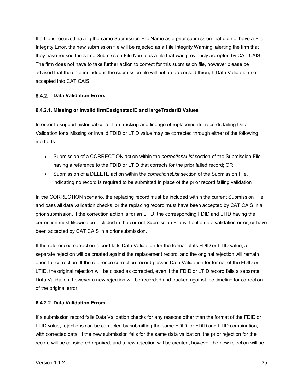If a file is received having the same Submission File Name as a prior submission that did not have a File Integrity Error, the new submission file will be rejected as a File Integrity Warning, alerting the firm that they have reused the same Submission File Name as a file that was previously accepted by CAT CAIS. The firm does not have to take further action to correct for this submission file, however please be advised that the data included in the submission file will not be processed through Data Validation nor accepted into CAT CAIS.

#### <span id="page-40-0"></span>**Data Validation Errors**

#### **6.4.2.1. Missing or Invalid firmDesignatedID and largeTraderID Values**

In order to support historical correction tracking and lineage of replacements, records failing Data Validation for a Missing or Invalid FDID or LTID value may be corrected through either of the following methods:

- Submission of a CORRECTION action within the *correctionsList* section of the Submission File, having a reference to the FDID or LTID that corrects for the prior failed record; OR
- Submission of a DELETE action within the *correctionsList* section of the Submission File, indicating no record is required to be submitted in place of the prior record failing validation

In the CORRECTION scenario, the replacing record must be included within the current Submission File and pass all data validation checks, or the replacing record must have been accepted by CAT CAIS in a prior submission. If the correction action is for an LTID, the corresponding FDID and LTID having the correction must likewise be included in the current Submission File without a data validation error, or have been accepted by CAT CAIS in a prior submission.

If the referenced correction record fails Data Validation for the format of its FDID or LTID value, a separate rejection will be created against the replacement record, and the original rejection will remain open for correction. If the reference correction record passes Data Validation for format of the FDID or LTID, the original rejection will be closed as corrected, even if the FDID or LTID record fails a separate Data Validation; however a new rejection will be recorded and tracked against the timeline for correction of the original error.

#### **6.4.2.2. Data Validation Errors**

If a submission record fails Data Validation checks for any reasons other than the format of the FDID or LTID value, rejections can be corrected by submitting the same FDID, or FDID and LTID combination, with corrected data. If the new submission fails for the same data validation, the prior rejection for the record will be considered repaired, and a new rejection will be created; however the new rejection will be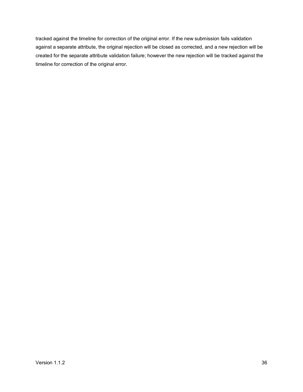tracked against the timeline for correction of the original error. If the new submission fails validation against a separate attribute, the original rejection will be closed as corrected, and a new rejection will be created for the separate attribute validation failure; however the new rejection will be tracked against the timeline for correction of the original error.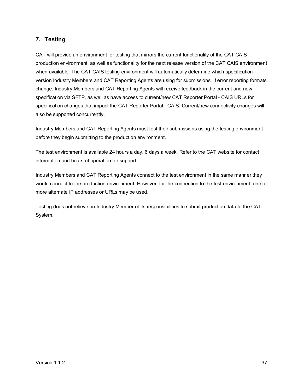#### <span id="page-42-0"></span>**7. Testing**

CAT will provide an environment for testing that mirrors the current functionality of the CAT CAIS production environment, as well as functionality for the next release version of the CAT CAIS environment when available. The CAT CAIS testing environment will automatically determine which specification version Industry Members and CAT Reporting Agents are using for submissions. If error reporting formats change, Industry Members and CAT Reporting Agents will receive feedback in the current and new specification via SFTP, as well as have access to current/new CAT Reporter Portal - CAIS URLs for specification changes that impact the CAT Reporter Portal - CAIS. Current/new connectivity changes will also be supported concurrently.

Industry Members and CAT Reporting Agents must test their submissions using the testing environment before they begin submitting to the production environment.

The test environment is available 24 hours a day, 6 days a week. Refer to the CAT website for contact information and hours of operation for support.

Industry Members and CAT Reporting Agents connect to the test environment in the same manner they would connect to the production environment. However, for the connection to the test environment, one or more alternate IP addresses or URLs may be used.

Testing does not relieve an Industry Member of its responsibilities to submit production data to the CAT System.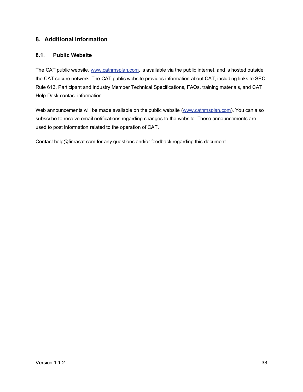#### <span id="page-43-0"></span>**8. Additional Information**

#### <span id="page-43-1"></span>**8.1. Public Website**

The CAT public website, [www.catnmsplan.com,](https://www.catnmsplan.com/) is available via the public internet, and is hosted outside the CAT secure network. The CAT public website provides information about CAT, including links to SEC Rule 613, Participant and Industry Member Technical Specifications, FAQs, training materials, and CAT Help Desk contact information.

Web announcements will be made available on the public website [\(www.catnmsplan.com\)](https://www.catnmsplan.com/). You can also subscribe to receive email notifications regarding changes to the website. These announcements are used to post information related to the operation of CAT.

Contact help@finracat.com for any questions and/or feedback regarding this document.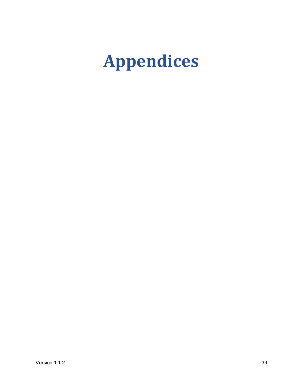# <span id="page-44-0"></span>**Appendices**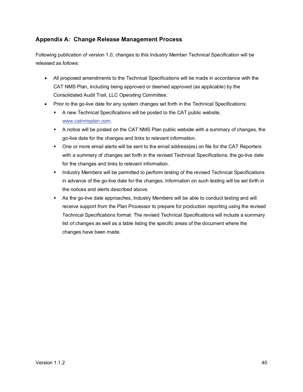#### <span id="page-45-0"></span>**Appendix A: Change Release Management Process**

Following publication of version 1.0, changes to this Industry Member Technical Specification will be released as follows:

- All proposed amendments to the Technical Specifications will be made in accordance with the CAT NMS Plan, including being approved or deemed approved (as applicable) by the Consolidated Audit Trail, LLC Operating Committee.
- Prior to the go-live date for any system changes set forth in the Technical Specifications:
	- A new Technical Specifications will be posted to the CAT public website, [www.catnmsplan.com.](https://www.catnmsplan.com/)
	- A notice will be posted on the CAT NMS Plan public website with a summary of changes, the go-live date for the changes and links to relevant information.
	- One or more email alerts will be sent to the email address(es) on file for the CAT Reporters with a summary of changes set forth in the revised Technical Specifications, the go-live date for the changes and links to relevant information.
	- Industry Members will be permitted to perform testing of the revised Technical Specifications in advance of the go-live date for the changes. Information on such testing will be set forth in the notices and alerts described above.
	- As the go-live date approaches, Industry Members will be able to conduct testing and will receive support from the Plan Processor to prepare for production reporting using the revised Technical Specifications format. The revised Technical Specifications will include a summary list of changes as well as a table listing the specific areas of the document where the changes have been made.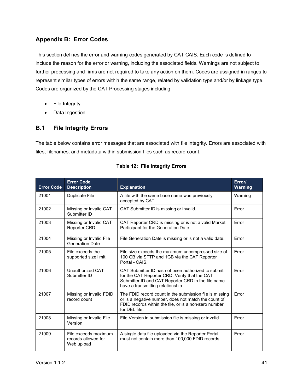#### <span id="page-46-0"></span>**Appendix B: Error Codes**

This section defines the error and warning codes generated by CAT CAIS. Each code is defined to include the reason for the error or warning, including the associated fields. Warnings are not subject to further processing and firms are not required to take any action on them. Codes are assigned in ranges to represent similar types of errors within the same range, related by validation type and/or by linkage type. Codes are organized by the CAT Processing stages including:

- File Integrity
- Data Ingestion

#### <span id="page-46-1"></span>**B.1 File Integrity Errors**

The table below contains error messages that are associated with file integrity. Errors are associated with files, filenames, and metadata within submission files such as record count.

| <b>Error Code</b> | <b>Error Code</b><br><b>Description</b>                   | <b>Explanation</b>                                                                                                                                                                             | Error/<br><b>Warning</b> |
|-------------------|-----------------------------------------------------------|------------------------------------------------------------------------------------------------------------------------------------------------------------------------------------------------|--------------------------|
| 21001             | Duplicate File                                            | A file with the same base name was previously<br>accepted by CAT.                                                                                                                              | Warning                  |
| 21002             | Missing or Invalid CAT<br>Submitter ID                    | CAT Submitter ID is missing or invalid.                                                                                                                                                        | Error                    |
| 21003             | Missing or Invalid CAT<br><b>Reporter CRD</b>             | CAT Reporter CRD is missing or is not a valid Market<br>Participant for the Generation Date.                                                                                                   | Error                    |
| 21004             | Missing or Invalid File<br><b>Generation Date</b>         | File Generation Date is missing or is not a valid date.                                                                                                                                        | Error                    |
| 21005             | File exceeds the<br>supported size limit                  | File size exceeds the maximum uncompressed size of<br>100 GB via SFTP and 1GB via the CAT Reporter<br>Portal - CAIS.                                                                           | Error                    |
| 21006             | Unauthorized CAT<br>Submitter ID                          | CAT Submitter ID has not been authorized to submit<br>for the CAT Reporter CRD. Verify that the CAT<br>Submitter ID and CAT Reporter CRD in the file name<br>have a transmitting relationship. | Error                    |
| 21007             | Missing or Invalid FDID<br>record count                   | The FDID record count in the submission file is missing<br>or is a negative number, does not match the count of<br>FDID records within the file, or is a non-zero number<br>for DEL file.      | Error                    |
| 21008             | Missing or Invalid File<br>Version                        | File Version in submission file is missing or invalid.                                                                                                                                         | Error                    |
| 21009             | File exceeds maximum<br>records allowed for<br>Web upload | A single data file uploaded via the Reporter Portal<br>must not contain more than 100,000 FDID records.                                                                                        | Error                    |

| Table 12: File Integrity Errors |  |  |  |
|---------------------------------|--|--|--|
|---------------------------------|--|--|--|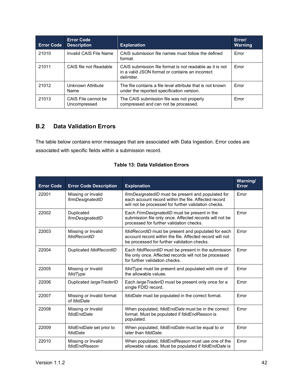| <b>Error Code</b> | <b>Error Code</b><br><b>Description</b> | <b>Explanation</b>                                                                                                        | Error/<br><b>Warning</b> |
|-------------------|-----------------------------------------|---------------------------------------------------------------------------------------------------------------------------|--------------------------|
| 21010             | Invalid CAIS File Name                  | CAIS submission file names must follow the defined<br>format.                                                             | Error                    |
| 21011             | CAIS file not Readable                  | CAIS submission file format is not readable as it is not<br>in a valid JSON format or contains an incorrect<br>delimiter. | Error                    |
| 21012             | Unknown Attribute<br>Name               | The file contains a file level attribute that is not known<br>under the reported specification version.                   | Error                    |
| 21013             | CAIS File cannot be<br>Uncompressed     | The CAIS submission file was not properly<br>compressed and can not be processed.                                         | Error                    |

#### <span id="page-47-0"></span>**B.2 Data Validation Errors**

The table below contains error messages that are associated with Data Ingestion. Error codes are associated with specific fields within a submission record.

| <b>Error Code</b> | <b>Error Code Description</b>            | <b>Explanation</b>                                                                                                                                                        | Warning/<br><b>Error</b> |
|-------------------|------------------------------------------|---------------------------------------------------------------------------------------------------------------------------------------------------------------------------|--------------------------|
| 22001             | Missing or Invalid<br>firmDesignatedID   | <i>firmDesignatedID</i> must be present and populated for<br>each account record within the file. Affected record<br>will not be processed for further validation checks. | Error                    |
| 22002             | Duplicated<br>firmDesignatedID           | Each FirmDesignatedID must be present in the<br>submission file only once. Affected records will not be<br>processed for further validation checks.                       | Error                    |
| 22003             | Missing or Invalid<br>fdidRecordID       | fdidRecordID must be present and populated for each<br>account record within the file. Affected record will not<br>be processed for further validation checks.            | Error                    |
| 22004             | Duplicated fdidRecordID                  | Each fdidRecordID must be present in the submission<br>file only once. Affected records will not be processed<br>for further validation checks.                           | Error                    |
| 22005             | Missing or Invalid<br>fdidType           | fdidType must be present and populated with one of<br>the allowable values.                                                                                               | Error                    |
| 22006             | Duplicated large TraderID                | Each large TraderID must be present only once for a<br>single FDID record.                                                                                                | Error                    |
| 22007             | Missing or Invalid format<br>of fdidDate | fdidDate must be populated in the correct format.                                                                                                                         | Error                    |
| 22008             | Missing or Invalid<br>fdidEndDate        | When populated, fdidEndDate must be in the correct<br>format. Must be populated if fdidEndReason is<br>populated.                                                         | Error                    |
| 22009             | fdidEndDate set prior to<br>fdidDate     | When populated, fdidEndDate must be equal to or<br>later than folidDate.                                                                                                  | Error                    |
| 22010             | Missing or Invalid<br>fdidEndReason      | When populated, fdidEndReason must use one of the<br>allowable values. Must be populated if fdidEndDate is                                                                | Error                    |

|  |  |  | <b>Table 13: Data Validation Errors</b> |  |
|--|--|--|-----------------------------------------|--|
|--|--|--|-----------------------------------------|--|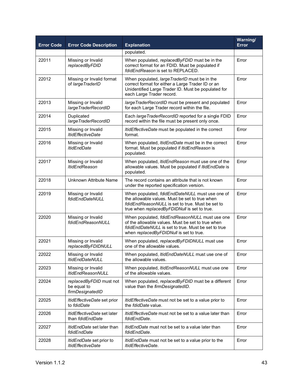| <b>Error Code</b> | <b>Error Code Description</b>                               | <b>Explanation</b>                                                                                                                                                                                    | Warning/<br>Error |
|-------------------|-------------------------------------------------------------|-------------------------------------------------------------------------------------------------------------------------------------------------------------------------------------------------------|-------------------|
|                   |                                                             | populated.                                                                                                                                                                                            |                   |
| 22011             | Missing or Invalid<br>replacedByFDID                        | When populated, replacedByFDID must be in the<br>correct format for an FDID. Must be populated if<br>fdidEndReason is set to REPLACED.                                                                | Error             |
| 22012             | Missing or Invalid format<br>of large TraderID              | When populated, large TraderID must be in the<br>correct format for either a Large Trader ID or an<br>Unidentified Large Trader ID. Must be populated for<br>each Large Trader record.                | Error             |
| 22013             | Missing or Invalid<br>largeTraderRecordID                   | large TraderRecordID must be present and populated<br>for each Large Trader record within the file.                                                                                                   | Error             |
| 22014             | Duplicated<br>largeTraderRecordID                           | Each large Trader RecordID reported for a single FDID<br>record within the file must be present only once.                                                                                            | Error             |
| 22015             | Missing or Invalid<br><b>ItidEffectiveDate</b>              | ItidEffectiveDate must be populated in the correct<br>format.                                                                                                                                         | Error             |
| 22016             | Missing or Invalid<br><b>ItidEndDate</b>                    | When populated, ItidEndDate must be in the correct<br>format. Must be populated if ItidEndReason is<br>populated.                                                                                     | Error             |
| 22017             | Missing or Invalid<br><b>ItidEndReason</b>                  | When populated, ItidEndReason must use one of the<br>allowable values. Must be populated if <i>ItidEndDate</i> is<br>populated.                                                                       | Error             |
| 22018             | Unknown Attribute Name                                      | The record contains an attribute that is not known<br>under the reported specification version.                                                                                                       | Error             |
| 22019             | Missing or Invalid<br>fdidEndDateNULL                       | When populated, fdidEndDateNULL must use one of<br>the allowable values. Must be set to true when<br>fdidEndReasonNULL is set to true. Must be set to<br>true when replacedByFDIDNull is set to true. | Error             |
| 22020             | Missing or Invalid<br>fdidEndReasonNULL                     | When populated, fdidEndReasonNULL must use one<br>of the allowable values. Must be set to true when<br>fdidEndDateNULL is set to true. Must be set to true<br>when replacedByFDIDNull is set to true. | Error             |
| 22021             | Missing or Invalid<br>replacedByFDIDNULL                    | When populated, replacedByFDIDNULL must use<br>one of the allowable values.                                                                                                                           | Error             |
| 22022             | Missing or Invalid<br><i>ItidEndDateNULL</i>                | When populated, ItidEndDateNULL must use one of<br>the allowable values.                                                                                                                              | Error             |
| 22023             | Missing or Invalid<br><b>ItidEndReasonNULL</b>              | When populated, <i>ItidEndReasonNULL</i> must use one<br>of the allowable values.                                                                                                                     | Error             |
| 22024             | replacedByFDID must not<br>be equal to<br>firmDesignatedID  | When populated, replacedByFDID must be a different<br>value than the firmDesignatedID.                                                                                                                | Error             |
| 22025             | <i>ItidEffectiveDate</i> set prior<br>to fdidDate           | ItidEffectiveDate must not be set to a value prior to<br>the <i>fdidDate</i> value.                                                                                                                   | Error             |
| 22026             | ItidEffectiveDate set later<br>than fdidEndDate             | <i>ItidEffectiveDate</i> must not be set to a value later than<br>fdidEndDate.                                                                                                                        | Error             |
| 22027             | <i>ItidEndDate</i> set later than<br>fdidEndDate            | ItidEndDate must not be set to a value later than<br>fdidEndDate.                                                                                                                                     | Error             |
| 22028             | <i>ItidEndDate</i> set prior to<br><b>ItidEffectiveDate</b> | <i>ItidEndDate</i> must not be set to a value prior to the<br>ItidEffectiveDate.                                                                                                                      | Error             |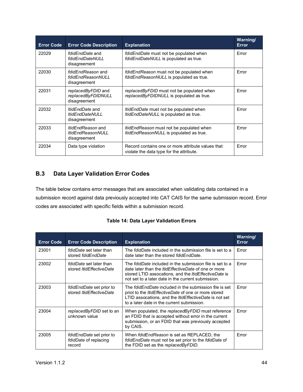| <b>Error Code</b> | <b>Error Code Description</b>                                    | <b>Explanation</b>                                                                            | Warning/<br><b>Error</b> |
|-------------------|------------------------------------------------------------------|-----------------------------------------------------------------------------------------------|--------------------------|
| 22029             | fdidEndDate and<br>fdidEndDateNULL<br>disagreement               | fdidEndDate must not be populated when<br>fdidEndDateNULL is populated as true.               | Error                    |
| 22030             | fdidEndReason and<br>fdidEndReasonNULL<br>disagreement           | fdidEndReason must not be populated when<br>fdidEndReasonNULL is populated as true.           | Error                    |
| 22031             | replacedByFDID and<br>replacedByFDIDNULL<br>disagreement         | replacedByFDID must not be populated when<br>replacedByFDIDNULL is populated as true.         | Error                    |
| 22032             | <i>ItidEndDate</i> and<br><b>ItidEndDateNULL</b><br>disagreement | <i>ItidEndDate</i> must not be populated when<br>ItidEndDateNULL is populated as true.        | Error                    |
| 22033             | <i>ItidEndReason</i> and<br>ltidEndReasonNULL<br>disagreement    | <i>ItidEndReason</i> must not be populated when<br>ItidEndReasonNULL is populated as true.    | Error                    |
| 22034             | Data type violation                                              | Record contains one or more attribute values that<br>violate the data type for the attribute. | Error                    |

#### <span id="page-49-0"></span>**B.3 Data Layer Validation Error Codes**

The table below contains error messages that are associated when validating data contained in a submission record against data previously accepted into CAT CAIS for the same submission record. Error codes are associated with specific fields within a submission record.

| <b>Table 14: Data Layer Validation Errors</b> |  |  |
|-----------------------------------------------|--|--|
|-----------------------------------------------|--|--|

| <b>Error Code</b> | <b>Error Code Description</b>                                      | <b>Explanation</b>                                                                                                                                                                                                                                   | Warning/<br><b>Error</b> |
|-------------------|--------------------------------------------------------------------|------------------------------------------------------------------------------------------------------------------------------------------------------------------------------------------------------------------------------------------------------|--------------------------|
| 23001             | fdidDate set later than<br>stored fdidEndDate                      | The <i>fdidDate</i> included in the submission file is set to a<br>date later than the stored folidEndDate.                                                                                                                                          | Error                    |
| 23002             | <i>fdidDate</i> set later than<br>stored <i>ItidEffectiveDate</i>  | The <i>fdidDate</i> included in the submission file is set to a<br>date later than the <i>ItidEffectiveDate</i> of one or more<br>stored LTID assocations, and the <i>ItidEffectiveDate</i> is<br>not set to a later date in the current submission. | Error                    |
| 23003             | <i>fdidEndDate</i> set prior to<br>stored ItidEffectiveDate        | The <i>fdidEndDate</i> included in the submission file is set<br>priot to the <i>ItidEffectiveDate</i> of one or more stored<br>LTID assocations, and the <i>ItidEffectiveDate</i> is not set<br>to a later date in the current submission.          | Error                    |
| 23004             | replacedByFDID set to an<br>unknown value                          | When populated, the replacedByFDID must reference<br>an FDID that is accepted without error in the current<br>submission, or an FDID that was previously accepted<br>by CAIS.                                                                        | Error                    |
| 23005             | <i>fdidEndDate</i> set prior to<br>fdidDate of replacing<br>record | When fdidEndReason is set as REPLACED, the<br>fdidEndDate must not be set prior to the fdidDate of<br>the FDID set as the replaced By FDID.                                                                                                          | Error                    |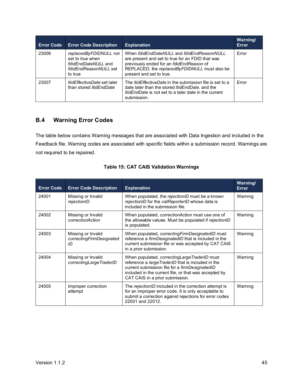| <b>Error Code</b> | <b>Error Code Description</b>                                                                                | <b>Explanation</b>                                                                                                                                                                                                      | Warning/<br>Error |
|-------------------|--------------------------------------------------------------------------------------------------------------|-------------------------------------------------------------------------------------------------------------------------------------------------------------------------------------------------------------------------|-------------------|
| 23006             | replacedByFDIDNULL not<br>set to true when<br><i>fdidEndDateNULL</i> and<br>fdidEndReasonNULL set<br>to true | When fdidEndDateNULL and fdidEndReasonNULL<br>are present and set to true for an FDID that was<br>previously ended for an fdidEndReason of<br>REPLACED, the replacedByFDIDNULL must also be<br>present and set to true. | Error             |
| 23007             | <i>ItidEffectiveDate</i> set later<br>than stored <i>ItidEndDate</i>                                         | The <i>ItidEffectiveDate</i> in the submission file is set to a<br>date later than the stored <i>ItidEndDate</i> , and the<br>ItidEndDate is not set to a later date in the current<br>submission.                      | Error             |

#### <span id="page-50-0"></span>**B.4 Warning Error Codes**

The table below contains Warning messages that are associated with Data Ingestion and included in the Feedback file. Warning codes are associated with specific fields within a submission record. Warnings are not required to be repaired.

| <b>Error Code</b> | <b>Error Code Description</b>                        | <b>Explanation</b>                                                                                                                                                                                                                                 | Warning/<br><b>Error</b> |
|-------------------|------------------------------------------------------|----------------------------------------------------------------------------------------------------------------------------------------------------------------------------------------------------------------------------------------------------|--------------------------|
| 24001             | Missing or Invalid<br>rejectionID                    | When populated, the rejectionID must be a known<br>rejectionID for the catReporterID whose data is<br>included in the submission file.                                                                                                             | Warning                  |
| 24002             | Missing or Invalid<br>correctionAction               | When populated, <i>correctionAction</i> must use one of<br>the allowable values. Must be populated if rejectionID<br>is populated.                                                                                                                 | Warning                  |
| 24003             | Missing or Invalid<br>correctingFirmDesignated<br>ID | When populated, correcting Firm Designated ID must<br>reference a firmDesignatedID that is included in the<br>current submission file or was accepted by CAT CAIS<br>in a prior submission.                                                        | Warning                  |
| 24004             | Missing or Invalid<br>correctingLargeTraderID        | When populated, correcting Large TraderID must<br>reference a large TraderID that is included in the<br>current submission file for a firmDesignatedID<br>included in the current file, or that was accepted by<br>CAT CAIS in a prior submission. | Warning                  |
| 24005             | Improper correction<br>attempt                       | The rejectionID included in the correction attempt is<br>for an improper error code. It is only acceptable to<br>submit a correction against rejections for error codes<br>22001 and 22012.                                                        | Warning                  |

|  |  |  |  | <b>Table 15: CAT CAIS Validation Warnings</b> |  |
|--|--|--|--|-----------------------------------------------|--|
|--|--|--|--|-----------------------------------------------|--|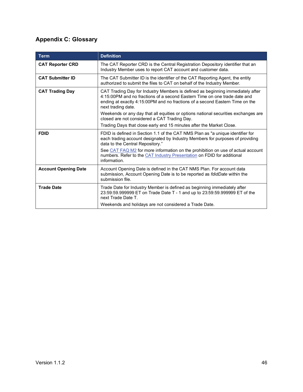### <span id="page-51-0"></span>**Appendix C: Glossary**

| Ierm                        | <b>Definition</b>                                                                                                                                                                                                                                                 |
|-----------------------------|-------------------------------------------------------------------------------------------------------------------------------------------------------------------------------------------------------------------------------------------------------------------|
| <b>CAT Reporter CRD</b>     | The CAT Reporter CRD is the Central Registration Depository identifier that an<br>Industry Member uses to report CAT account and customer data.                                                                                                                   |
| <b>CAT Submitter ID</b>     | The CAT Submitter ID is the identifier of the CAT Reporting Agent, the entity<br>authorized to submit the files to CAT on behalf of the Industry Member.                                                                                                          |
| <b>CAT Trading Day</b>      | CAT Trading Day for Industry Members is defined as beginning immediately after<br>4:15:00PM and no fractions of a second Eastern Time on one trade date and<br>ending at exactly 4:15:00PM and no fractions of a second Eastern Time on the<br>next trading date. |
|                             | Weekends or any day that all equities or options national securities exchanges are<br>closed are not considered a CAT Trading Day.                                                                                                                                |
|                             | Trading Days that close early end 15 minutes after the Market Close.                                                                                                                                                                                              |
| <b>FDID</b>                 | FDID is defined in Section 1.1 of the CAT NMS Plan as "a unique identifier for<br>each trading account designated by Industry Members for purposes of providing<br>data to the Central Repository."                                                               |
|                             | See CAT FAQ M2 for more information on the prohibition on use of actual account<br>numbers. Refer to the CAT Industry Presentation on FDID for additional<br>information.                                                                                         |
| <b>Account Opening Date</b> | Account Opening Date is defined in the CAT NMS Plan. For account data<br>submission, Account Opening Date is to be reported as fdidDate within the<br>submission file.                                                                                            |
| <b>Trade Date</b>           | Trade Date for Industry Member is defined as beginning immediately after<br>23:59:59.999999 ET on Trade Date T - 1 and up to 23:59:59.999999 ET of the<br>next Trade Date T.                                                                                      |
|                             | Weekends and holidays are not considered a Trade Date.                                                                                                                                                                                                            |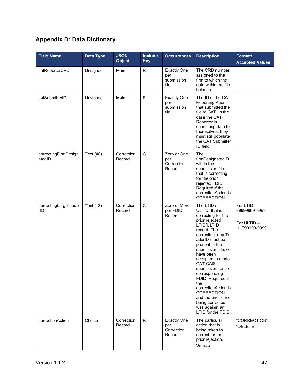## <span id="page-52-0"></span>**Appendix D: Data Dictionary**

| <b>Field Name</b>              | Data Type | <b>JSON</b><br><b>Object</b> | <b>Include</b><br><b>Key</b> | <b>Occurrences</b>                                | <b>Description</b>                                                                                                                                                                                                                                                                                                                                                                                                                 | Format/<br><b>Accepted Values</b>                           |
|--------------------------------|-----------|------------------------------|------------------------------|---------------------------------------------------|------------------------------------------------------------------------------------------------------------------------------------------------------------------------------------------------------------------------------------------------------------------------------------------------------------------------------------------------------------------------------------------------------------------------------------|-------------------------------------------------------------|
| catReporterCRD                 | Unsigned  | Main                         | R                            | <b>Exactly One</b><br>per<br>submission<br>file   | The CRD number<br>assigned to the<br>firm to which the<br>data within the file<br>belongs.                                                                                                                                                                                                                                                                                                                                         |                                                             |
| catSubmitterID                 | Unsigned  | Main                         | R                            | <b>Exactly One</b><br>per<br>submission<br>file   | The ID of the CAT<br><b>Reporting Agent</b><br>that submitted the<br>file to CAT. In the<br>case the CAT<br>Reporter is<br>submitting data for<br>themselves, they<br>must still populate<br>the CAT Submitter<br>ID field.                                                                                                                                                                                                        |                                                             |
| correctingFirmDesign<br>atedID | Text (40) | Correction<br>Record         | C                            | Zero or One<br>per<br>Correction<br>Record        | The<br>firmDesignatedID<br>within the<br>submission file<br>that is correcting<br>for the prior<br>rejected FDID.<br>Required if the<br>correctionAction is<br>CORRECTION.                                                                                                                                                                                                                                                         |                                                             |
| correctingLargeTrade<br>rID    | Text (13) | Correction<br>Record         | $\mathbf C$                  | Zero or More<br>per FDID<br>Record                | The LTID or<br>ULTID that is<br>correcting for the<br>prior rejected<br>LTID/ULTID<br>record. The<br>correctingLargeTr<br>aderID must be<br>present in the<br>submission file, or<br>have been<br>accepted in a prior<br><b>CAT CAIS</b><br>submission for the<br>corresponding<br>FDID. Required if<br>the<br>correctionAction is<br>CORRECTION<br>and the prior error<br>being corrected<br>was against an<br>LTID for the FDID. | For LTID -<br>99999999-9999<br>For ULTID -<br>ULT99999-9999 |
| correctionAction               | Choice    | Correction<br>Record         | R.                           | <b>Exactly One</b><br>per<br>Correction<br>Record | The particular<br>action that is<br>being taken to<br>correct for the<br>prior rejection.<br>Values:                                                                                                                                                                                                                                                                                                                               | "CORRECTION"<br>"DELETE"                                    |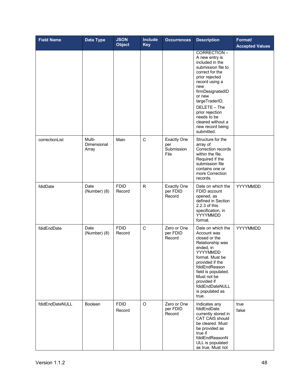| <b>Field Name</b> | <b>Data Type</b>               | <b>JSON</b><br><b>Object</b> | <b>Include</b><br><b>Key</b> | <b>Occurrences</b>                              | <b>Description</b>                                                                                                                                                                                                                                                                            | Format/<br><b>Accepted Values</b> |
|-------------------|--------------------------------|------------------------------|------------------------------|-------------------------------------------------|-----------------------------------------------------------------------------------------------------------------------------------------------------------------------------------------------------------------------------------------------------------------------------------------------|-----------------------------------|
|                   |                                |                              |                              |                                                 | CORRECTION-<br>A new entry is<br>included in the<br>submission file to<br>correct for the<br>prior rejected<br>record using a<br>new<br>firmDesignatedID<br>or new<br>largeTraderID.<br>DELETE - The<br>prior rejection<br>needs to be<br>cleared without a<br>new record being<br>submitted. |                                   |
| correctionList    | Multi-<br>Dimensional<br>Array | Main                         | C                            | <b>Exactly One</b><br>per<br>Submission<br>File | Structure for the<br>array of<br>Correction records<br>within the file.<br>Required if the<br>submission file<br>contains one or<br>more Correction<br>records.                                                                                                                               |                                   |
| fdidDate          | Date<br>(Number) (8)           | <b>FDID</b><br>Record        | R                            | <b>Exactly One</b><br>per FDID<br>Record        | Date on which the<br>FDID account<br>opened, as<br>defined in Section<br>2.2.3 of this<br>specification, in<br>YYYYMMDD<br>format.                                                                                                                                                            | YYYYMMDD                          |
| fdidEndDate       | Date<br>(Number) (8)           | <b>FDID</b><br>Record        | $\mathsf C$                  | Zero or One<br>per FDID<br>Record               | Date on which the<br>Account was<br>closed or the<br>Relationship was<br>ended, in<br>YYYYMMDD<br>format. Must be<br>provided if the<br>fdidEndReason<br>field is populated.<br>Must not be<br>provided if<br>fdidEndDateNULL<br>is populated as<br>true.                                     | YYYYMMDD                          |
| fdidEndDateNULL   | Boolean                        | <b>FDID</b><br>Record        | O                            | Zero or One<br>per FDID<br>Record               | Indicates any<br>fdidEndDate<br>currently stored in<br>CAT CAIS should<br>be cleared. Must<br>be provided as<br>true if<br>fdidEndReasonN<br>ULL is populated<br>as true. Must not                                                                                                            | true<br>false                     |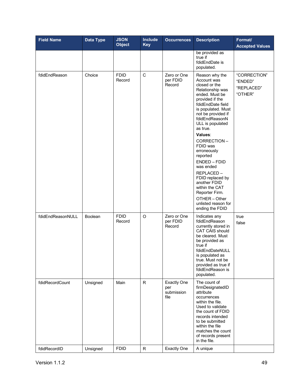| <b>Field Name</b> | Data Type      | <b>JSON</b><br><b>Object</b> | <b>Include</b><br><b>Key</b> | <b>Occurrences</b>                              | <b>Description</b>                                                                                                                                                                                                                                                                                                                                                                                                                                                     | Format/<br><b>Accepted Values</b>                |
|-------------------|----------------|------------------------------|------------------------------|-------------------------------------------------|------------------------------------------------------------------------------------------------------------------------------------------------------------------------------------------------------------------------------------------------------------------------------------------------------------------------------------------------------------------------------------------------------------------------------------------------------------------------|--------------------------------------------------|
|                   |                |                              |                              |                                                 | be provided as<br>true if<br>fdidEndDate is<br>populated.                                                                                                                                                                                                                                                                                                                                                                                                              |                                                  |
| fdidEndReason     | Choice         | <b>FDID</b><br>Record        | $\mathsf C$                  | Zero or One<br>per FDID<br>Record               | Reason why the<br>Account was<br>closed or the<br>Relationship was<br>ended. Must be<br>provided if the<br>fdidEndDate field<br>is populated. Must<br>not be provided if<br>fdidEndReasonN<br>ULL is populated<br>as true.<br>Values:<br>CORRECTION-<br>FDID was<br>erroneously<br>reported<br>ENDED - FDID<br>was ended<br>REPLACED-<br>FDID replaced by<br>another FDID<br>within the CAT<br>Reporter Firm.<br>OTHER-Other<br>unlisted reason for<br>ending the FDID | "CORRECTION"<br>"ENDED"<br>"REPLACED"<br>"OTHER" |
| fdidEndReasonNULL | <b>Boolean</b> | <b>FDID</b><br>Record        | $\circ$                      | Zero or One<br>per FDID<br>Record               | Indicates any<br>fdidEndReason<br>currently stored in<br>CAT CAIS should<br>be cleared. Must<br>be provided as<br>true if<br>fdidEndDateNULL<br>is populated as<br>true. Must not be<br>provided as true if<br>fdidEndReason is<br>populated.                                                                                                                                                                                                                          | true<br>false                                    |
| fdidRecordCount   | Unsigned       | Main                         | R                            | <b>Exactly One</b><br>per<br>submission<br>file | The count of<br>firmDesignatedID<br>attribute<br>occurrences<br>within the file.<br>Used to validate<br>the count of FDID<br>records intended<br>to be submitted<br>within the file<br>matches the count<br>of records present<br>in the file.                                                                                                                                                                                                                         |                                                  |
| fdidRecordID      | Unsigned       | <b>FDID</b>                  | R                            | <b>Exactly One</b>                              | A unique                                                                                                                                                                                                                                                                                                                                                                                                                                                               |                                                  |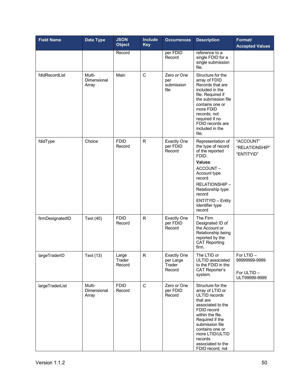| <b>Field Name</b> | Data Type                             | <b>JSON</b><br><b>Object</b> | <b>Include</b><br><b>Key</b> | <b>Occurrences</b>                                  | <b>Description</b>                                                                                                                                                                                                                                         | Format/<br><b>Accepted Values</b>                             |
|-------------------|---------------------------------------|------------------------------|------------------------------|-----------------------------------------------------|------------------------------------------------------------------------------------------------------------------------------------------------------------------------------------------------------------------------------------------------------------|---------------------------------------------------------------|
|                   |                                       | Record                       |                              | per FDID<br>Record                                  | reference to a<br>single FDID for a<br>single submission<br>file.                                                                                                                                                                                          |                                                               |
| fdidRecordList    | Multi-<br>Dimensional<br>Array        | Main                         | $\mathsf{C}$                 | Zero or One<br>per<br>submission<br>file            | Structure for the<br>array of FDID<br>Records that are<br>included in the<br>file. Required if<br>the submission file<br>contains one or<br>more FDID<br>records; not<br>required if no<br>FDID records are<br>included in the<br>file.                    |                                                               |
| fdidType          | Choice                                | <b>FDID</b><br>Record        | R                            | <b>Exactly One</b><br>per FDID<br>Record            | Representation of<br>the type of record<br>of the reported<br>FDID.<br>Values:<br>ACCOUNT-<br>Account type<br>record<br>RELATIONSHIP -<br>Relationship type<br>record<br><b>ENTITYID - Entity</b><br>Identifier type<br>record                             | "ACCOUNT"<br>"RELATIONSHIP"<br>"ENTITYID"                     |
| firmDesignatedID  | Text (40)                             | <b>FDID</b><br>Record        | $\mathsf R$                  | <b>Exactly One</b><br>per FDID<br>Record            | The Firm<br>Designated ID of<br>the Account or<br>Relationship being<br>reported by the<br><b>CAT Reporting</b><br>firm.                                                                                                                                   |                                                               |
| largeTraderID     | Text (13)                             | Large<br>Trader<br>Record    | R                            | <b>Exactly One</b><br>per Large<br>Trader<br>Record | The LTID or<br>ULTID associated<br>to the FDID in the<br><b>CAT Reporter's</b><br>system.                                                                                                                                                                  | For $LTID -$<br>99999999-9999<br>For ULTID -<br>ULT99999-9999 |
| largeTraderList   | Multi-<br><b>Dimensional</b><br>Array | <b>FDID</b><br>Record        | $\mathsf C$                  | Zero or One<br>per FDID<br>Record                   | Structure for the<br>array of LTID or<br>ULTID records<br>that are<br>associated to the<br>FDID record<br>within the file.<br>Required if the<br>submission file<br>contains one or<br>more LTID/ULTID<br>records<br>associated to the<br>FDID record; not |                                                               |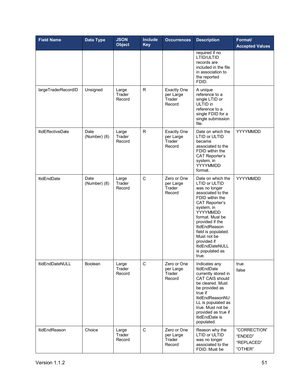| <b>Field Name</b>        | Data Type            | <b>JSON</b><br><b>Object</b> | <b>Include</b><br><b>Key</b> | <b>Occurrences</b>                                  | <b>Description</b>                                                                                                                                                                                                                                                                                               | Format/<br><b>Accepted Values</b>                |
|--------------------------|----------------------|------------------------------|------------------------------|-----------------------------------------------------|------------------------------------------------------------------------------------------------------------------------------------------------------------------------------------------------------------------------------------------------------------------------------------------------------------------|--------------------------------------------------|
|                          |                      |                              |                              |                                                     | required if no<br>LTID/ULTID<br>records are<br>included in the file<br>in association to<br>the reported<br>FDID.                                                                                                                                                                                                |                                                  |
| largeTraderRecordID      | Unsigned             | Large<br>Trader<br>Record    | R                            | <b>Exactly One</b><br>per Large<br>Trader<br>Record | A unique<br>reference to a<br>single LTID or<br>ULTID in<br>reference to a<br>single FDID for a<br>single submission<br>file.                                                                                                                                                                                    |                                                  |
| <b>ItidEffectiveDate</b> | Date<br>(Number) (8) | Large<br>Trader<br>Record    | R                            | Exactly One<br>per Large<br>Trader<br>Record        | Date on which the<br>LTID or ULTID<br>became<br>associated to the<br>FDID within the<br>CAT Reporter's<br>system, in<br>YYYYMMDD<br>format.                                                                                                                                                                      | YYYYMMDD                                         |
| <b>ItidEndDate</b>       | Date<br>(Number) (8) | Large<br>Trader<br>Record    | C                            | Zero or One<br>per Large<br>Trader<br>Record        | Date on which the<br>LTID or ULTID<br>was no longer<br>associated to the<br>FDID within the<br><b>CAT Reporter's</b><br>system, in<br>YYYYMMDD<br>format. Must be<br>provided if the<br>ItidEndReason<br>field is populated.<br>Must not be<br>provided if<br><b>ItidEndDateNULL</b><br>is populated as<br>true. | YYYYMMDD                                         |
| <b>ItidEndDateNULL</b>   | <b>Boolean</b>       | Large<br>Trader<br>Record    | C                            | Zero or One<br>per Large<br>Trader<br>Record        | Indicates any<br><b>ItidEndDate</b><br>currently stored in<br>CAT CAIS should<br>be cleared. Must<br>be provided as<br>true if<br>ItidEndReasonNU<br>LL is populated as<br>true. Must not be<br>provided as true if<br>ItidEndDate is<br>populated.                                                              | true<br>false                                    |
| <b>ItidEndReason</b>     | Choice               | Large<br>Trader<br>Record    | C                            | Zero or One<br>per Large<br>Trader<br>Record        | Reason why the<br>LTID or ULTID<br>was no longer<br>associated to the<br>FDID. Must be                                                                                                                                                                                                                           | "CORRECTION"<br>"ENDED"<br>"REPLACED"<br>"OTHER" |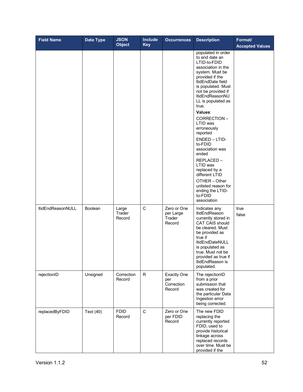| <b>Field Name</b>        | <b>Data Type</b> | <b>JSON</b><br><b>Object</b> | <b>Include</b><br><b>Key</b> | <b>Occurrences</b>                                | <b>Description</b>                                                                                                                                                                                                                                                                                                                                                                                                                                                                                             | Format/<br><b>Accepted Values</b> |
|--------------------------|------------------|------------------------------|------------------------------|---------------------------------------------------|----------------------------------------------------------------------------------------------------------------------------------------------------------------------------------------------------------------------------------------------------------------------------------------------------------------------------------------------------------------------------------------------------------------------------------------------------------------------------------------------------------------|-----------------------------------|
|                          |                  |                              |                              |                                                   | populated in order<br>to end date an<br>LTID-to-FDID<br>association in the<br>system. Must be<br>provided if the<br>ItidEndDate field<br>is populated. Must<br>not be provided if<br>ItidEndReasonNU<br>LL is populated as<br>true.<br>Values:<br>CORRECTION-<br>LTID was<br>erroneously<br>reported<br>ENDED - LTID-<br>to-FDID<br>association was<br>ended<br>REPLACED-<br>LTID was<br>replaced by a<br>different LTID<br>OTHER - Other<br>unlisted reason for<br>ending the LTID-<br>to-FDID<br>association |                                   |
| <b>ItidEndReasonNULL</b> | Boolean          | Large<br>Trader<br>Record    | C                            | Zero or One<br>per Large<br>Trader<br>Record      | Indicates any<br><b>ItidEndReason</b><br>currently stored in<br>CAT CAIS should<br>be cleared. Must<br>be provided as<br>true if<br>ItidEndDateNULL<br>is populated as<br>true. Must not be<br>provided as true if<br>ItidEndReason is<br>populated.                                                                                                                                                                                                                                                           | true<br>false                     |
| rejectionID              | Unsigned         | Correction<br>Record         | R                            | <b>Exactly One</b><br>per<br>Correction<br>Record | The rejectionID<br>from a prior<br>submission that<br>was created for<br>the particular Data<br>Ingestion error<br>being corrected.                                                                                                                                                                                                                                                                                                                                                                            |                                   |
| replacedByFDID           | Text (40)        | <b>FDID</b><br>Record        | C                            | Zero or One<br>per FDID<br>Record                 | The new FDID<br>replacing the<br>currently reported<br>FDID, used to<br>provide historical<br>linkage across<br>replaced records<br>over time. Must be<br>provided if the                                                                                                                                                                                                                                                                                                                                      |                                   |